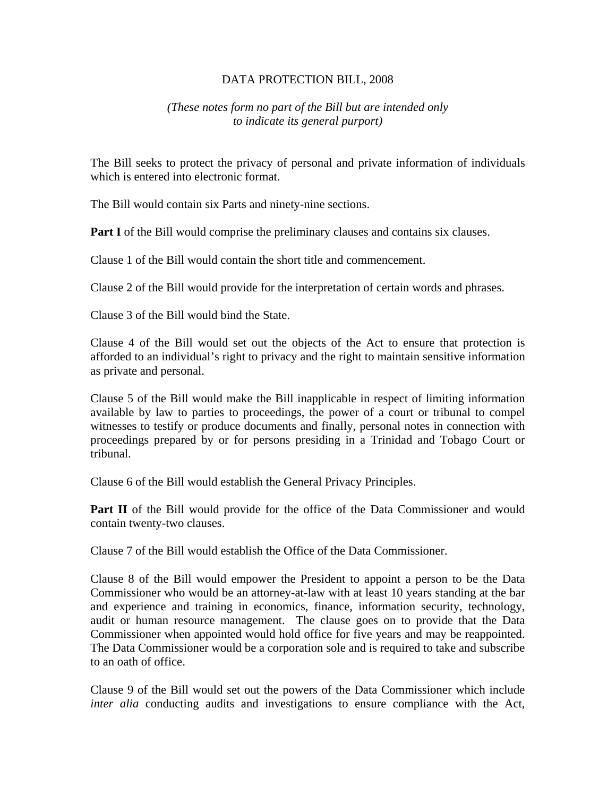### DATA PROTECTION BILL, 2008

## *(These notes form no part of the Bill but are intended only to indicate its general purport)*

The Bill seeks to protect the privacy of personal and private information of individuals which is entered into electronic format.

The Bill would contain six Parts and ninety-nine sections.

**Part I** of the Bill would comprise the preliminary clauses and contains six clauses.

Clause 1 of the Bill would contain the short title and commencement.

Clause 2 of the Bill would provide for the interpretation of certain words and phrases.

Clause 3 of the Bill would bind the State.

Clause 4 of the Bill would set out the objects of the Act to ensure that protection is afforded to an individual's right to privacy and the right to maintain sensitive information as private and personal.

Clause 5 of the Bill would make the Bill inapplicable in respect of limiting information available by law to parties to proceedings, the power of a court or tribunal to compel witnesses to testify or produce documents and finally, personal notes in connection with proceedings prepared by or for persons presiding in a Trinidad and Tobago Court or tribunal.

Clause 6 of the Bill would establish the General Privacy Principles.

**Part II** of the Bill would provide for the office of the Data Commissioner and would contain twenty-two clauses.

Clause 7 of the Bill would establish the Office of the Data Commissioner.

Clause 8 of the Bill would empower the President to appoint a person to be the Data Commissioner who would be an attorney-at-law with at least 10 years standing at the bar and experience and training in economics, finance, information security, technology, audit or human resource management. The clause goes on to provide that the Data Commissioner when appointed would hold office for five years and may be reappointed. The Data Commissioner would be a corporation sole and is required to take and subscribe to an oath of office.

Clause 9 of the Bill would set out the powers of the Data Commissioner which include *inter alia* conducting audits and investigations to ensure compliance with the Act,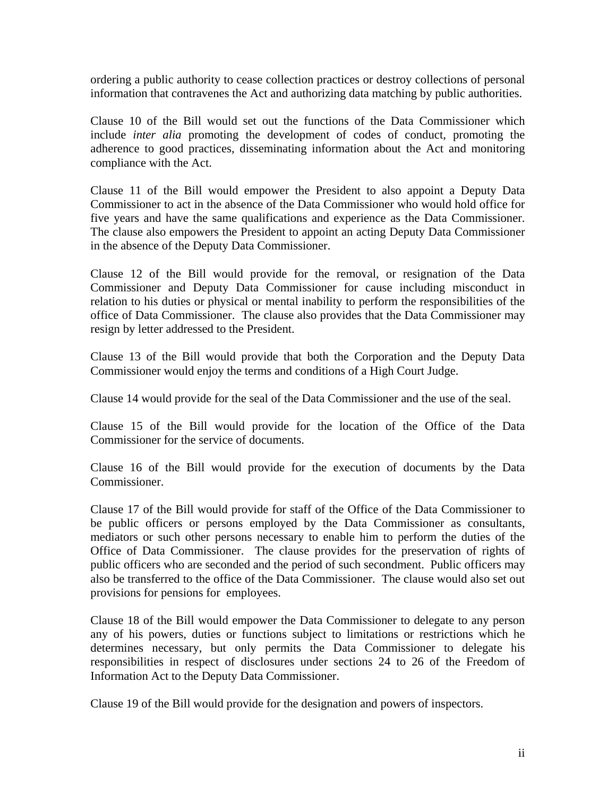ordering a public authority to cease collection practices or destroy collections of personal information that contravenes the Act and authorizing data matching by public authorities.

Clause 10 of the Bill would set out the functions of the Data Commissioner which include *inter alia* promoting the development of codes of conduct, promoting the adherence to good practices, disseminating information about the Act and monitoring compliance with the Act.

Clause 11 of the Bill would empower the President to also appoint a Deputy Data Commissioner to act in the absence of the Data Commissioner who would hold office for five years and have the same qualifications and experience as the Data Commissioner. The clause also empowers the President to appoint an acting Deputy Data Commissioner in the absence of the Deputy Data Commissioner.

Clause 12 of the Bill would provide for the removal, or resignation of the Data Commissioner and Deputy Data Commissioner for cause including misconduct in relation to his duties or physical or mental inability to perform the responsibilities of the office of Data Commissioner. The clause also provides that the Data Commissioner may resign by letter addressed to the President.

Clause 13 of the Bill would provide that both the Corporation and the Deputy Data Commissioner would enjoy the terms and conditions of a High Court Judge.

Clause 14 would provide for the seal of the Data Commissioner and the use of the seal.

Clause 15 of the Bill would provide for the location of the Office of the Data Commissioner for the service of documents.

Clause 16 of the Bill would provide for the execution of documents by the Data Commissioner.

Clause 17 of the Bill would provide for staff of the Office of the Data Commissioner to be public officers or persons employed by the Data Commissioner as consultants, mediators or such other persons necessary to enable him to perform the duties of the Office of Data Commissioner. The clause provides for the preservation of rights of public officers who are seconded and the period of such secondment. Public officers may also be transferred to the office of the Data Commissioner. The clause would also set out provisions for pensions for employees.

Clause 18 of the Bill would empower the Data Commissioner to delegate to any person any of his powers, duties or functions subject to limitations or restrictions which he determines necessary, but only permits the Data Commissioner to delegate his responsibilities in respect of disclosures under sections 24 to 26 of the Freedom of Information Act to the Deputy Data Commissioner.

Clause 19 of the Bill would provide for the designation and powers of inspectors.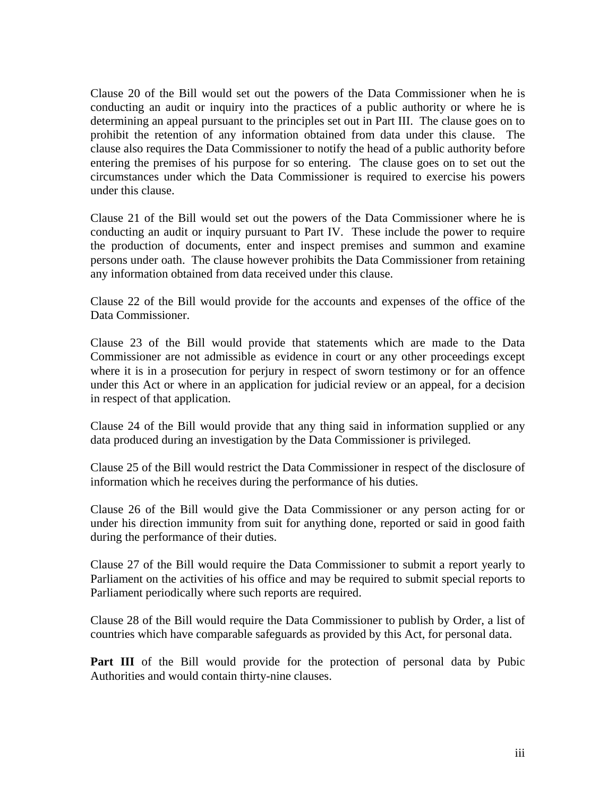Clause 20 of the Bill would set out the powers of the Data Commissioner when he is conducting an audit or inquiry into the practices of a public authority or where he is determining an appeal pursuant to the principles set out in Part III. The clause goes on to prohibit the retention of any information obtained from data under this clause. The clause also requires the Data Commissioner to notify the head of a public authority before entering the premises of his purpose for so entering. The clause goes on to set out the circumstances under which the Data Commissioner is required to exercise his powers under this clause.

Clause 21 of the Bill would set out the powers of the Data Commissioner where he is conducting an audit or inquiry pursuant to Part IV. These include the power to require the production of documents, enter and inspect premises and summon and examine persons under oath. The clause however prohibits the Data Commissioner from retaining any information obtained from data received under this clause.

Clause 22 of the Bill would provide for the accounts and expenses of the office of the Data Commissioner.

Clause 23 of the Bill would provide that statements which are made to the Data Commissioner are not admissible as evidence in court or any other proceedings except where it is in a prosecution for perjury in respect of sworn testimony or for an offence under this Act or where in an application for judicial review or an appeal, for a decision in respect of that application.

Clause 24 of the Bill would provide that any thing said in information supplied or any data produced during an investigation by the Data Commissioner is privileged.

Clause 25 of the Bill would restrict the Data Commissioner in respect of the disclosure of information which he receives during the performance of his duties.

Clause 26 of the Bill would give the Data Commissioner or any person acting for or under his direction immunity from suit for anything done, reported or said in good faith during the performance of their duties.

Clause 27 of the Bill would require the Data Commissioner to submit a report yearly to Parliament on the activities of his office and may be required to submit special reports to Parliament periodically where such reports are required.

Clause 28 of the Bill would require the Data Commissioner to publish by Order, a list of countries which have comparable safeguards as provided by this Act, for personal data.

Part III of the Bill would provide for the protection of personal data by Pubic Authorities and would contain thirty-nine clauses.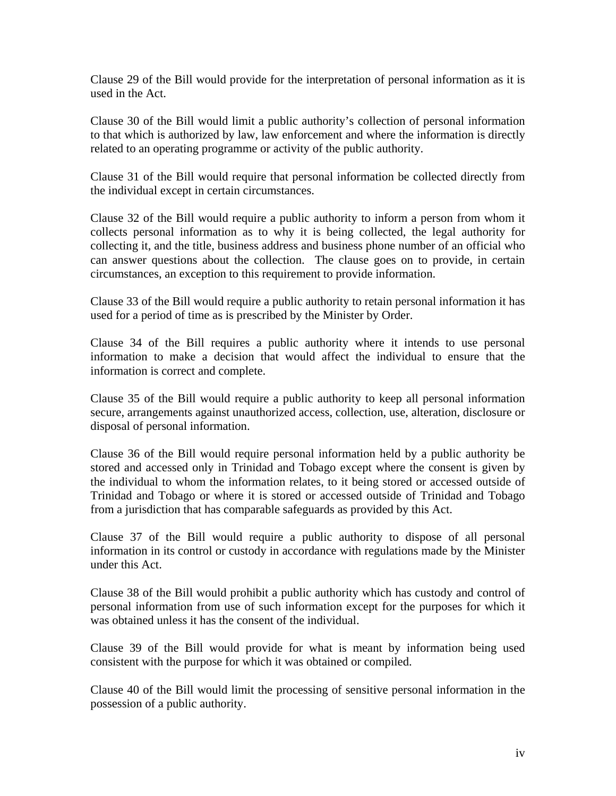Clause 29 of the Bill would provide for the interpretation of personal information as it is used in the Act.

Clause 30 of the Bill would limit a public authority's collection of personal information to that which is authorized by law, law enforcement and where the information is directly related to an operating programme or activity of the public authority.

Clause 31 of the Bill would require that personal information be collected directly from the individual except in certain circumstances.

Clause 32 of the Bill would require a public authority to inform a person from whom it collects personal information as to why it is being collected, the legal authority for collecting it, and the title, business address and business phone number of an official who can answer questions about the collection. The clause goes on to provide, in certain circumstances, an exception to this requirement to provide information.

Clause 33 of the Bill would require a public authority to retain personal information it has used for a period of time as is prescribed by the Minister by Order.

Clause 34 of the Bill requires a public authority where it intends to use personal information to make a decision that would affect the individual to ensure that the information is correct and complete.

Clause 35 of the Bill would require a public authority to keep all personal information secure, arrangements against unauthorized access, collection, use, alteration, disclosure or disposal of personal information.

Clause 36 of the Bill would require personal information held by a public authority be stored and accessed only in Trinidad and Tobago except where the consent is given by the individual to whom the information relates, to it being stored or accessed outside of Trinidad and Tobago or where it is stored or accessed outside of Trinidad and Tobago from a jurisdiction that has comparable safeguards as provided by this Act.

Clause 37 of the Bill would require a public authority to dispose of all personal information in its control or custody in accordance with regulations made by the Minister under this Act.

Clause 38 of the Bill would prohibit a public authority which has custody and control of personal information from use of such information except for the purposes for which it was obtained unless it has the consent of the individual.

Clause 39 of the Bill would provide for what is meant by information being used consistent with the purpose for which it was obtained or compiled.

Clause 40 of the Bill would limit the processing of sensitive personal information in the possession of a public authority.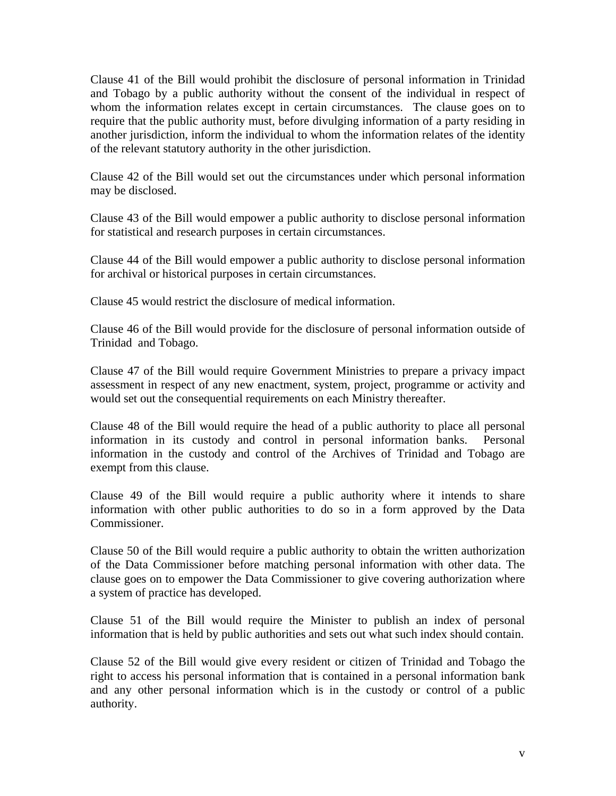Clause 41 of the Bill would prohibit the disclosure of personal information in Trinidad and Tobago by a public authority without the consent of the individual in respect of whom the information relates except in certain circumstances. The clause goes on to require that the public authority must, before divulging information of a party residing in another jurisdiction, inform the individual to whom the information relates of the identity of the relevant statutory authority in the other jurisdiction.

Clause 42 of the Bill would set out the circumstances under which personal information may be disclosed.

Clause 43 of the Bill would empower a public authority to disclose personal information for statistical and research purposes in certain circumstances.

Clause 44 of the Bill would empower a public authority to disclose personal information for archival or historical purposes in certain circumstances.

Clause 45 would restrict the disclosure of medical information.

Clause 46 of the Bill would provide for the disclosure of personal information outside of Trinidad and Tobago.

Clause 47 of the Bill would require Government Ministries to prepare a privacy impact assessment in respect of any new enactment, system, project, programme or activity and would set out the consequential requirements on each Ministry thereafter.

Clause 48 of the Bill would require the head of a public authority to place all personal information in its custody and control in personal information banks. Personal information in the custody and control of the Archives of Trinidad and Tobago are exempt from this clause.

Clause 49 of the Bill would require a public authority where it intends to share information with other public authorities to do so in a form approved by the Data Commissioner.

Clause 50 of the Bill would require a public authority to obtain the written authorization of the Data Commissioner before matching personal information with other data. The clause goes on to empower the Data Commissioner to give covering authorization where a system of practice has developed.

Clause 51 of the Bill would require the Minister to publish an index of personal information that is held by public authorities and sets out what such index should contain.

Clause 52 of the Bill would give every resident or citizen of Trinidad and Tobago the right to access his personal information that is contained in a personal information bank and any other personal information which is in the custody or control of a public authority.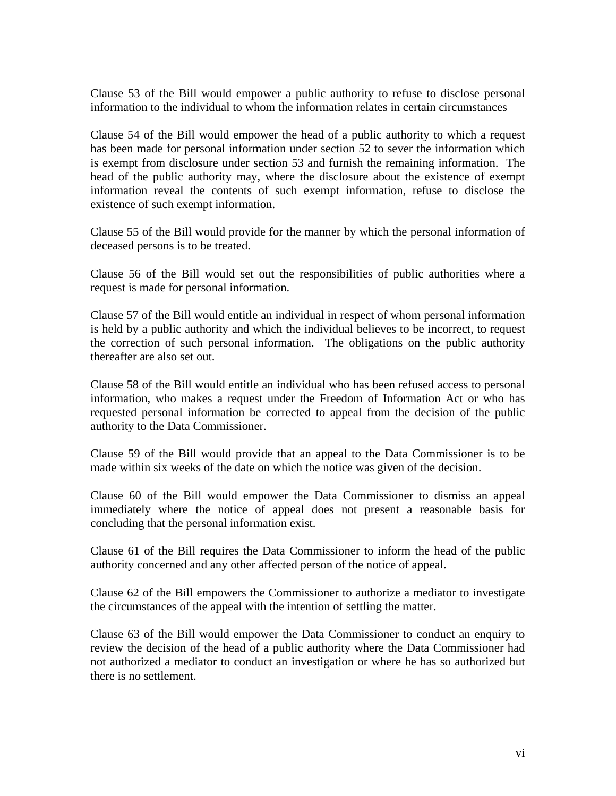Clause 53 of the Bill would empower a public authority to refuse to disclose personal information to the individual to whom the information relates in certain circumstances

Clause 54 of the Bill would empower the head of a public authority to which a request has been made for personal information under section 52 to sever the information which is exempt from disclosure under section 53 and furnish the remaining information. The head of the public authority may, where the disclosure about the existence of exempt information reveal the contents of such exempt information, refuse to disclose the existence of such exempt information.

Clause 55 of the Bill would provide for the manner by which the personal information of deceased persons is to be treated.

Clause 56 of the Bill would set out the responsibilities of public authorities where a request is made for personal information.

Clause 57 of the Bill would entitle an individual in respect of whom personal information is held by a public authority and which the individual believes to be incorrect, to request the correction of such personal information. The obligations on the public authority thereafter are also set out.

Clause 58 of the Bill would entitle an individual who has been refused access to personal information, who makes a request under the Freedom of Information Act or who has requested personal information be corrected to appeal from the decision of the public authority to the Data Commissioner.

Clause 59 of the Bill would provide that an appeal to the Data Commissioner is to be made within six weeks of the date on which the notice was given of the decision.

Clause 60 of the Bill would empower the Data Commissioner to dismiss an appeal immediately where the notice of appeal does not present a reasonable basis for concluding that the personal information exist.

Clause 61 of the Bill requires the Data Commissioner to inform the head of the public authority concerned and any other affected person of the notice of appeal.

Clause 62 of the Bill empowers the Commissioner to authorize a mediator to investigate the circumstances of the appeal with the intention of settling the matter.

Clause 63 of the Bill would empower the Data Commissioner to conduct an enquiry to review the decision of the head of a public authority where the Data Commissioner had not authorized a mediator to conduct an investigation or where he has so authorized but there is no settlement.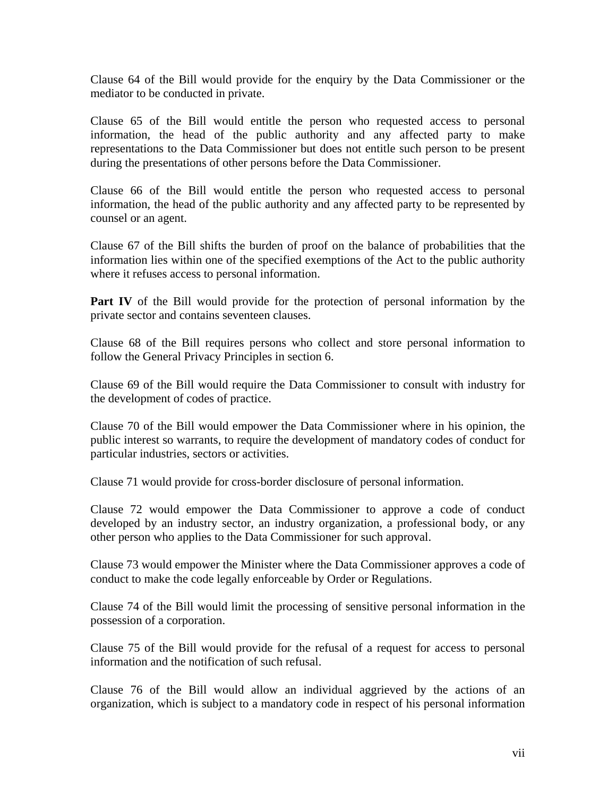Clause 64 of the Bill would provide for the enquiry by the Data Commissioner or the mediator to be conducted in private.

Clause 65 of the Bill would entitle the person who requested access to personal information, the head of the public authority and any affected party to make representations to the Data Commissioner but does not entitle such person to be present during the presentations of other persons before the Data Commissioner.

Clause 66 of the Bill would entitle the person who requested access to personal information, the head of the public authority and any affected party to be represented by counsel or an agent.

Clause 67 of the Bill shifts the burden of proof on the balance of probabilities that the information lies within one of the specified exemptions of the Act to the public authority where it refuses access to personal information.

**Part IV** of the Bill would provide for the protection of personal information by the private sector and contains seventeen clauses.

Clause 68 of the Bill requires persons who collect and store personal information to follow the General Privacy Principles in section 6.

Clause 69 of the Bill would require the Data Commissioner to consult with industry for the development of codes of practice.

Clause 70 of the Bill would empower the Data Commissioner where in his opinion, the public interest so warrants, to require the development of mandatory codes of conduct for particular industries, sectors or activities.

Clause 71 would provide for cross-border disclosure of personal information.

Clause 72 would empower the Data Commissioner to approve a code of conduct developed by an industry sector, an industry organization, a professional body, or any other person who applies to the Data Commissioner for such approval.

Clause 73 would empower the Minister where the Data Commissioner approves a code of conduct to make the code legally enforceable by Order or Regulations.

Clause 74 of the Bill would limit the processing of sensitive personal information in the possession of a corporation.

Clause 75 of the Bill would provide for the refusal of a request for access to personal information and the notification of such refusal.

Clause 76 of the Bill would allow an individual aggrieved by the actions of an organization, which is subject to a mandatory code in respect of his personal information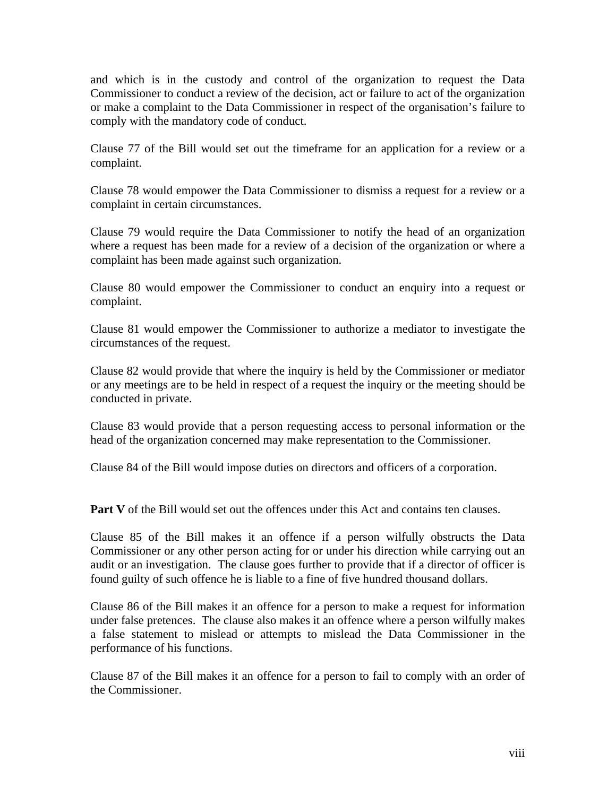and which is in the custody and control of the organization to request the Data Commissioner to conduct a review of the decision, act or failure to act of the organization or make a complaint to the Data Commissioner in respect of the organisation's failure to comply with the mandatory code of conduct.

Clause 77 of the Bill would set out the timeframe for an application for a review or a complaint.

Clause 78 would empower the Data Commissioner to dismiss a request for a review or a complaint in certain circumstances.

Clause 79 would require the Data Commissioner to notify the head of an organization where a request has been made for a review of a decision of the organization or where a complaint has been made against such organization.

Clause 80 would empower the Commissioner to conduct an enquiry into a request or complaint.

Clause 81 would empower the Commissioner to authorize a mediator to investigate the circumstances of the request.

Clause 82 would provide that where the inquiry is held by the Commissioner or mediator or any meetings are to be held in respect of a request the inquiry or the meeting should be conducted in private.

Clause 83 would provide that a person requesting access to personal information or the head of the organization concerned may make representation to the Commissioner.

Clause 84 of the Bill would impose duties on directors and officers of a corporation.

**Part V** of the Bill would set out the offences under this Act and contains ten clauses.

Clause 85 of the Bill makes it an offence if a person wilfully obstructs the Data Commissioner or any other person acting for or under his direction while carrying out an audit or an investigation. The clause goes further to provide that if a director of officer is found guilty of such offence he is liable to a fine of five hundred thousand dollars.

Clause 86 of the Bill makes it an offence for a person to make a request for information under false pretences. The clause also makes it an offence where a person wilfully makes a false statement to mislead or attempts to mislead the Data Commissioner in the performance of his functions.

Clause 87 of the Bill makes it an offence for a person to fail to comply with an order of the Commissioner.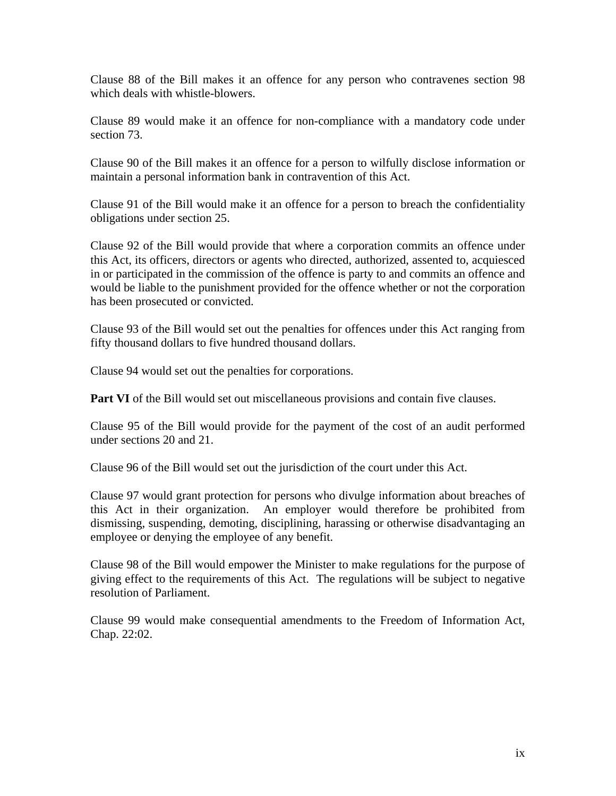Clause 88 of the Bill makes it an offence for any person who contravenes section 98 which deals with whistle-blowers.

Clause 89 would make it an offence for non-compliance with a mandatory code under section 73.

Clause 90 of the Bill makes it an offence for a person to wilfully disclose information or maintain a personal information bank in contravention of this Act.

Clause 91 of the Bill would make it an offence for a person to breach the confidentiality obligations under section 25.

Clause 92 of the Bill would provide that where a corporation commits an offence under this Act, its officers, directors or agents who directed, authorized, assented to, acquiesced in or participated in the commission of the offence is party to and commits an offence and would be liable to the punishment provided for the offence whether or not the corporation has been prosecuted or convicted.

Clause 93 of the Bill would set out the penalties for offences under this Act ranging from fifty thousand dollars to five hundred thousand dollars.

Clause 94 would set out the penalties for corporations.

**Part VI** of the Bill would set out miscellaneous provisions and contain five clauses.

Clause 95 of the Bill would provide for the payment of the cost of an audit performed under sections 20 and 21.

Clause 96 of the Bill would set out the jurisdiction of the court under this Act.

Clause 97 would grant protection for persons who divulge information about breaches of this Act in their organization. An employer would therefore be prohibited from dismissing, suspending, demoting, disciplining, harassing or otherwise disadvantaging an employee or denying the employee of any benefit.

Clause 98 of the Bill would empower the Minister to make regulations for the purpose of giving effect to the requirements of this Act. The regulations will be subject to negative resolution of Parliament.

Clause 99 would make consequential amendments to the Freedom of Information Act, Chap. 22:02.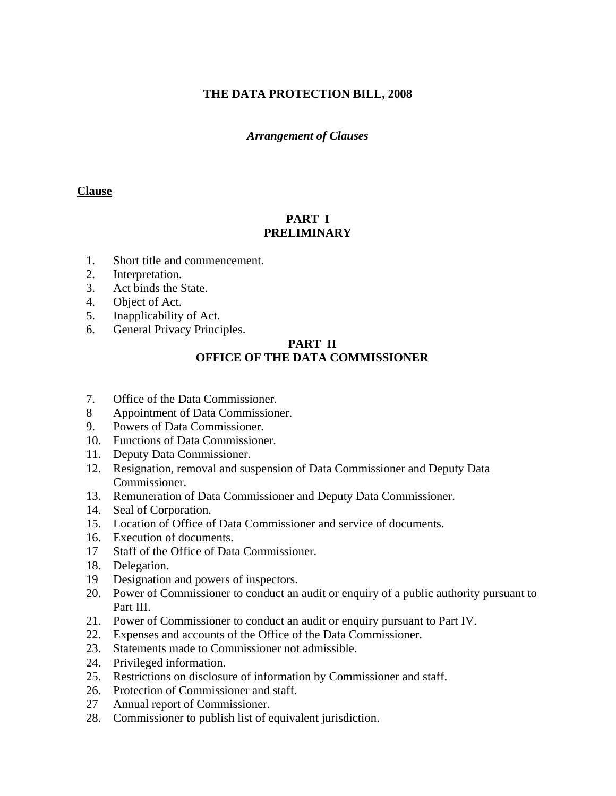# **THE DATA PROTECTION BILL, 2008**

## *Arrangement of Clauses*

#### **Clause**

# **PART I PRELIMINARY**

- 1. Short title and commencement.
- 2. Interpretation.
- 3. Act binds the State.
- 4. Object of Act.
- 5. Inapplicability of Act.
- 6. General Privacy Principles.

# **PART II OFFICE OF THE DATA COMMISSIONER**

- 7. Office of the Data Commissioner.
- 8 Appointment of Data Commissioner.
- 9. Powers of Data Commissioner.
- 10. Functions of Data Commissioner.
- 11. Deputy Data Commissioner.
- 12. Resignation, removal and suspension of Data Commissioner and Deputy Data Commissioner.
- 13. Remuneration of Data Commissioner and Deputy Data Commissioner.
- 14. Seal of Corporation.
- 15. Location of Office of Data Commissioner and service of documents.
- 16. Execution of documents.
- 17 Staff of the Office of Data Commissioner.
- 18. Delegation.
- 19 Designation and powers of inspectors.
- 20. Power of Commissioner to conduct an audit or enquiry of a public authority pursuant to Part III.
- 21. Power of Commissioner to conduct an audit or enquiry pursuant to Part IV.
- 22. Expenses and accounts of the Office of the Data Commissioner.
- 23. Statements made to Commissioner not admissible.
- 24. Privileged information.
- 25. Restrictions on disclosure of information by Commissioner and staff.
- 26. Protection of Commissioner and staff.
- 27 Annual report of Commissioner.
- 28. Commissioner to publish list of equivalent jurisdiction.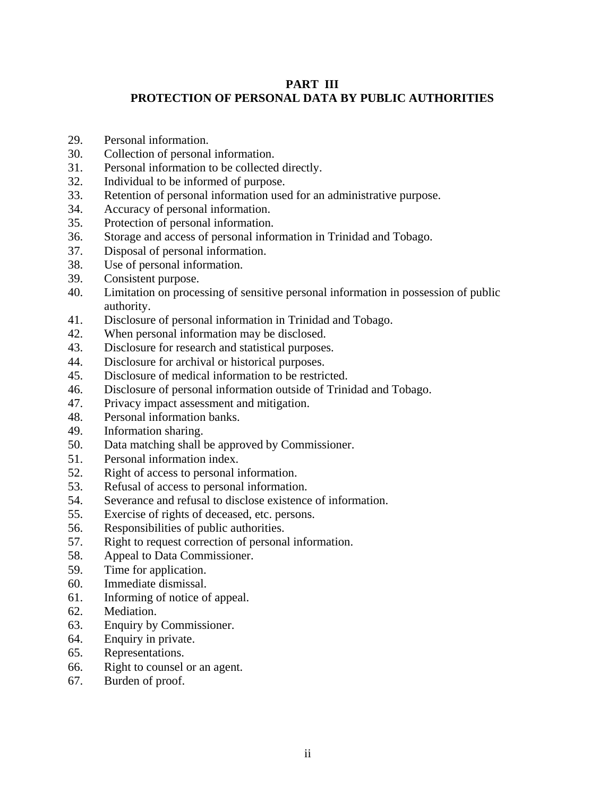# **PART III PROTECTION OF PERSONAL DATA BY PUBLIC AUTHORITIES**

- 29. Personal information.
- 30. Collection of personal information.
- 31. Personal information to be collected directly.
- 32. Individual to be informed of purpose.
- 33. Retention of personal information used for an administrative purpose.
- 34. Accuracy of personal information.
- 35. Protection of personal information.
- 36. Storage and access of personal information in Trinidad and Tobago.
- 37. Disposal of personal information.
- 38. Use of personal information.
- 39. Consistent purpose.
- 40. Limitation on processing of sensitive personal information in possession of public authority.
- 41. Disclosure of personal information in Trinidad and Tobago.
- 42. When personal information may be disclosed.
- 43. Disclosure for research and statistical purposes.
- 44. Disclosure for archival or historical purposes.
- 45. Disclosure of medical information to be restricted.
- 46. Disclosure of personal information outside of Trinidad and Tobago.
- 47. Privacy impact assessment and mitigation.
- 48. Personal information banks.
- 49. Information sharing.
- 50. Data matching shall be approved by Commissioner.
- 51. Personal information index.
- 52. Right of access to personal information.
- 53. Refusal of access to personal information.
- 54. Severance and refusal to disclose existence of information.
- 55. Exercise of rights of deceased, etc. persons.
- 56. Responsibilities of public authorities.
- 57. Right to request correction of personal information.
- 58. Appeal to Data Commissioner.
- 59. Time for application.
- 60. Immediate dismissal.
- 61. Informing of notice of appeal.
- 62. Mediation.
- 63. Enquiry by Commissioner.
- 64. Enquiry in private.
- 65. Representations.
- 66. Right to counsel or an agent.
- 67. Burden of proof.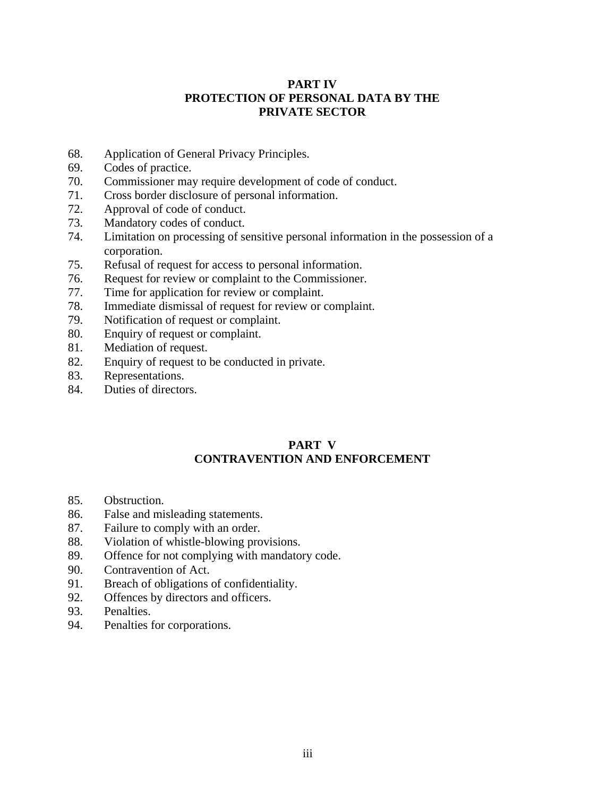## **PART IV PROTECTION OF PERSONAL DATA BY THE PRIVATE SECTOR**

- 68. Application of General Privacy Principles.
- 69. Codes of practice.
- 70. Commissioner may require development of code of conduct.
- 71. Cross border disclosure of personal information.
- 72. Approval of code of conduct.
- 73. Mandatory codes of conduct.
- 74. Limitation on processing of sensitive personal information in the possession of a corporation.
- 75. Refusal of request for access to personal information.
- 76. Request for review or complaint to the Commissioner.
- 77. Time for application for review or complaint.
- 78. Immediate dismissal of request for review or complaint.
- 79. Notification of request or complaint.
- 80. Enquiry of request or complaint.
- 81. Mediation of request.
- 82. Enquiry of request to be conducted in private.
- 83. Representations.
- 84. Duties of directors.

## **PART V CONTRAVENTION AND ENFORCEMENT**

- 85. Obstruction.
- 86. False and misleading statements.
- 87. Failure to comply with an order.
- 88. Violation of whistle-blowing provisions.
- 89. Offence for not complying with mandatory code.
- 90. Contravention of Act.
- 91. Breach of obligations of confidentiality.
- 92. Offences by directors and officers.
- 93. Penalties.
- 94. Penalties for corporations.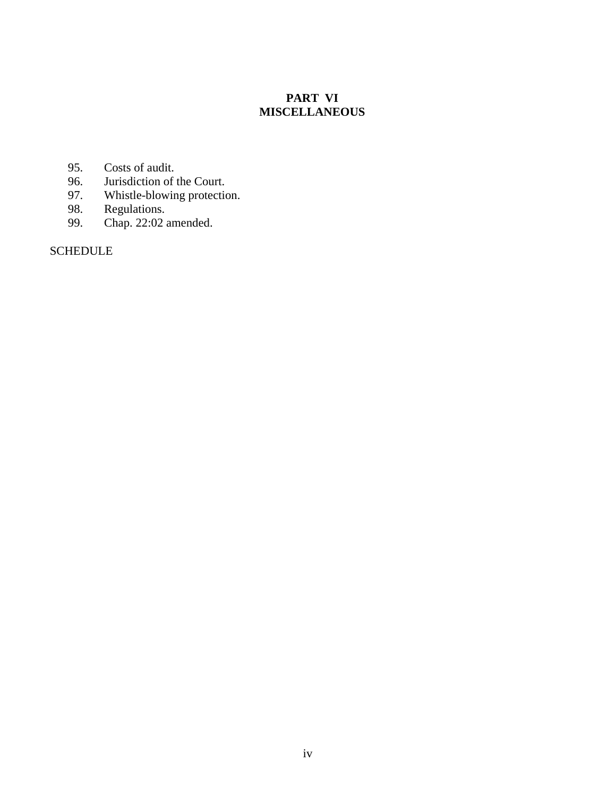# **PART VI MISCELLANEOUS**

- 
- 95. Costs of audit.<br>96. Jurisdiction of 96. Jurisdiction of the Court.<br>97. Whistle-blowing protection
- Whistle-blowing protection.
- 98. Regulations.<br>99. Chap. 22:02
- Chap.  $22:02$  amended.

**SCHEDULE**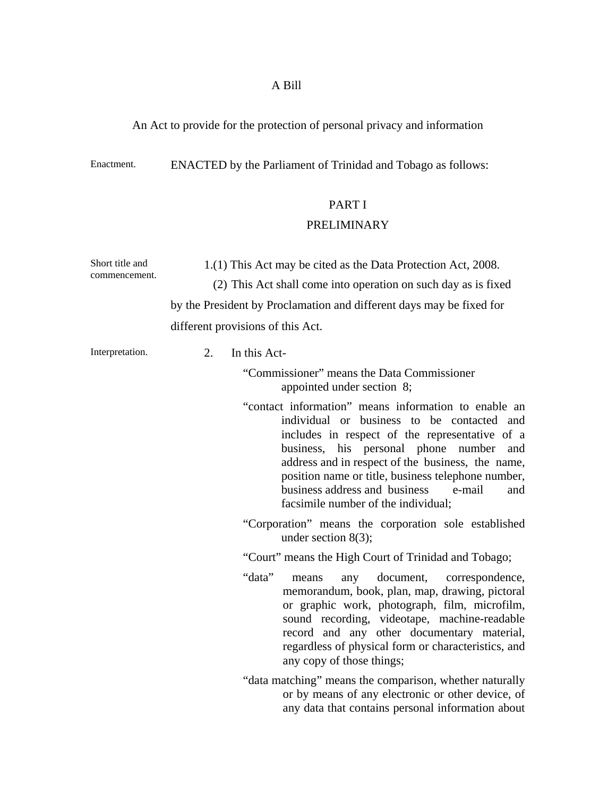## A Bill

# An Act to provide for the protection of personal privacy and information

Enactment. ENACTED by the Parliament of Trinidad and Tobago as follows:

# PART I

## PRELIMINARY

| Short title and | 1.(1) This Act may be cited as the Data Protection Act, 2008.                                                                                                                                                                                                                                                                                                                                          |  |  |  |
|-----------------|--------------------------------------------------------------------------------------------------------------------------------------------------------------------------------------------------------------------------------------------------------------------------------------------------------------------------------------------------------------------------------------------------------|--|--|--|
| commencement.   | (2) This Act shall come into operation on such day as is fixed                                                                                                                                                                                                                                                                                                                                         |  |  |  |
|                 | by the President by Proclamation and different days may be fixed for                                                                                                                                                                                                                                                                                                                                   |  |  |  |
|                 | different provisions of this Act.                                                                                                                                                                                                                                                                                                                                                                      |  |  |  |
| Interpretation. | $\overline{2}$ .<br>In this Act-                                                                                                                                                                                                                                                                                                                                                                       |  |  |  |
|                 | "Commissioner" means the Data Commissioner<br>appointed under section 8;                                                                                                                                                                                                                                                                                                                               |  |  |  |
|                 | "contact information" means information to enable an<br>individual or business to be contacted and<br>includes in respect of the representative of a<br>business, his personal phone number<br>and<br>address and in respect of the business, the name,<br>position name or title, business telephone number,<br>business address and business<br>e-mail<br>and<br>facsimile number of the individual; |  |  |  |
|                 | "Corporation" means the corporation sole established<br>under section $8(3)$ ;                                                                                                                                                                                                                                                                                                                         |  |  |  |
|                 | "Court" means the High Court of Trinidad and Tobago;                                                                                                                                                                                                                                                                                                                                                   |  |  |  |
|                 | "data"<br>document,<br>means<br>correspondence,<br>any<br>memorandum, book, plan, map, drawing, pictoral<br>or graphic work, photograph, film, microfilm,<br>sound recording, videotape, machine-readable<br>record and any other documentary material,<br>regardless of physical form or characteristics, and<br>any copy of those things;                                                            |  |  |  |
|                 | "data matching" means the comparison, whether naturally<br>or by means of any electronic or other device, of<br>any data that contains personal information about                                                                                                                                                                                                                                      |  |  |  |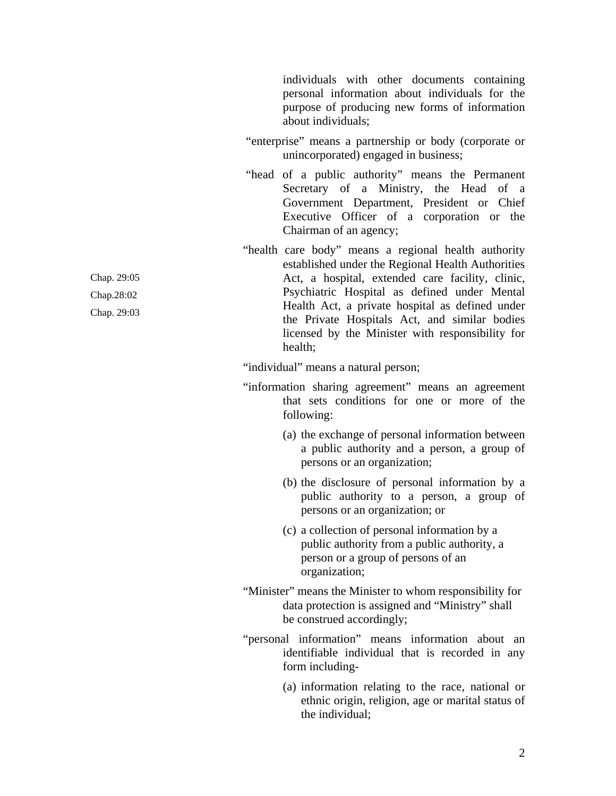individuals with other documents containing personal information about individuals for the purpose of producing new forms of information about individuals;

- "enterprise" means a partnership or body (corporate or unincorporated) engaged in business;
- "head of a public authority" means the Permanent Secretary of a Ministry, the Head of a Government Department, President or Chief Executive Officer of a corporation or the Chairman of an agency;
- "health care body" means a regional health authority established under the Regional Health Authorities Act, a hospital, extended care facility, clinic, Psychiatric Hospital as defined under Mental Health Act, a private hospital as defined under the Private Hospitals Act, and similar bodies licensed by the Minister with responsibility for health;

"individual" means a natural person;

- "information sharing agreement" means an agreement that sets conditions for one or more of the following:
	- (a) the exchange of personal information between a public authority and a person, a group of persons or an organization;
	- (b) the disclosure of personal information by a public authority to a person, a group of persons or an organization; or
	- (c) a collection of personal information by a public authority from a public authority, a person or a group of persons of an organization;
- "Minister" means the Minister to whom responsibility for data protection is assigned and "Ministry" shall be construed accordingly;
- "personal information" means information about an identifiable individual that is recorded in any form including-
	- (a) information relating to the race, national or ethnic origin, religion, age or marital status of the individual;

Chap. 29:05 Chap.28:02 Chap. 29:03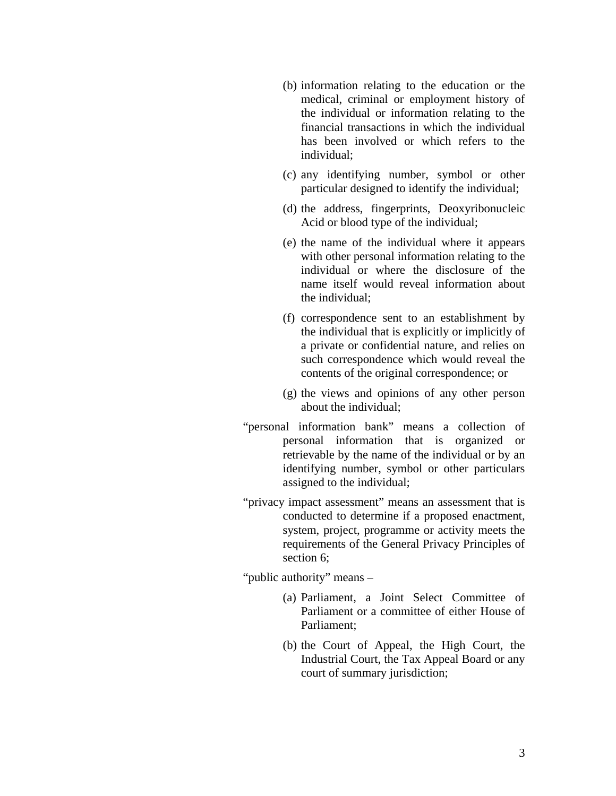- (b) information relating to the education or the medical, criminal or employment history of the individual or information relating to the financial transactions in which the individual has been involved or which refers to the individual;
- (c) any identifying number, symbol or other particular designed to identify the individual;
- (d) the address, fingerprints, Deoxyribonucleic Acid or blood type of the individual;
- (e) the name of the individual where it appears with other personal information relating to the individual or where the disclosure of the name itself would reveal information about the individual;
- (f) correspondence sent to an establishment by the individual that is explicitly or implicitly of a private or confidential nature, and relies on such correspondence which would reveal the contents of the original correspondence; or
- (g) the views and opinions of any other person about the individual;
- "personal information bank" means a collection of personal information that is organized or retrievable by the name of the individual or by an identifying number, symbol or other particulars assigned to the individual;
- "privacy impact assessment" means an assessment that is conducted to determine if a proposed enactment, system, project, programme or activity meets the requirements of the General Privacy Principles of section 6;

"public authority" means –

- (a) Parliament, a Joint Select Committee of Parliament or a committee of either House of Parliament;
- (b) the Court of Appeal, the High Court, the Industrial Court, the Tax Appeal Board or any court of summary jurisdiction;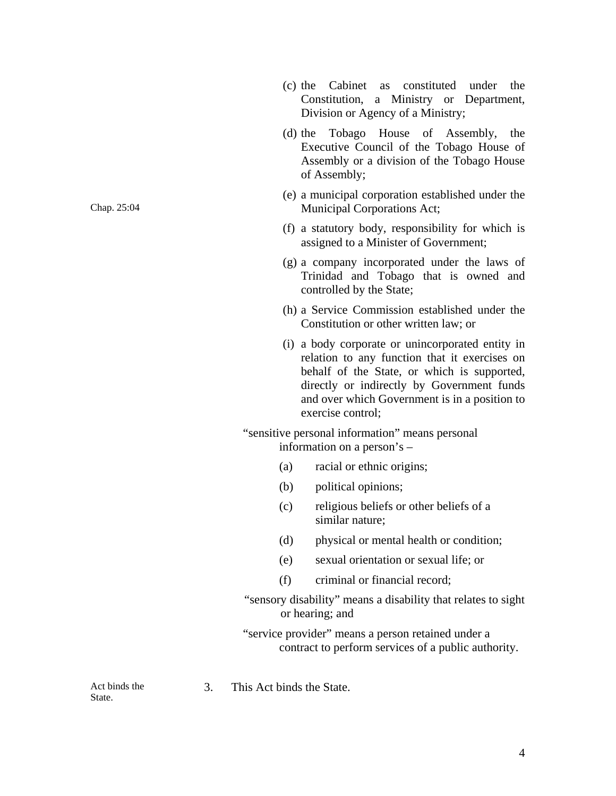- (c) the Cabinet as constituted under the Constitution, a Ministry or Department, Division or Agency of a Ministry;
- (d) the Tobago House of Assembly, the Executive Council of the Tobago House of Assembly or a division of the Tobago House of Assembly;
- (e) a municipal corporation established under the Municipal Corporations Act;
- (f) a statutory body, responsibility for which is assigned to a Minister of Government;
- (g) a company incorporated under the laws of Trinidad and Tobago that is owned and controlled by the State;
- (h) a Service Commission established under the Constitution or other written law; or
- (i) a body corporate or unincorporated entity in relation to any function that it exercises on behalf of the State, or which is supported, directly or indirectly by Government funds and over which Government is in a position to exercise control;

 "sensitive personal information" means personal information on a person's –

- (a) racial or ethnic origins;
- (b) political opinions;
- (c) religious beliefs or other beliefs of a similar nature;
- (d) physical or mental health or condition;
- (e) sexual orientation or sexual life; or
- (f) criminal or financial record;
- "sensory disability" means a disability that relates to sight or hearing; and

"service provider" means a person retained under a contract to perform services of a public authority.

3. This Act binds the State.

Act binds the State.

Chap. 25:04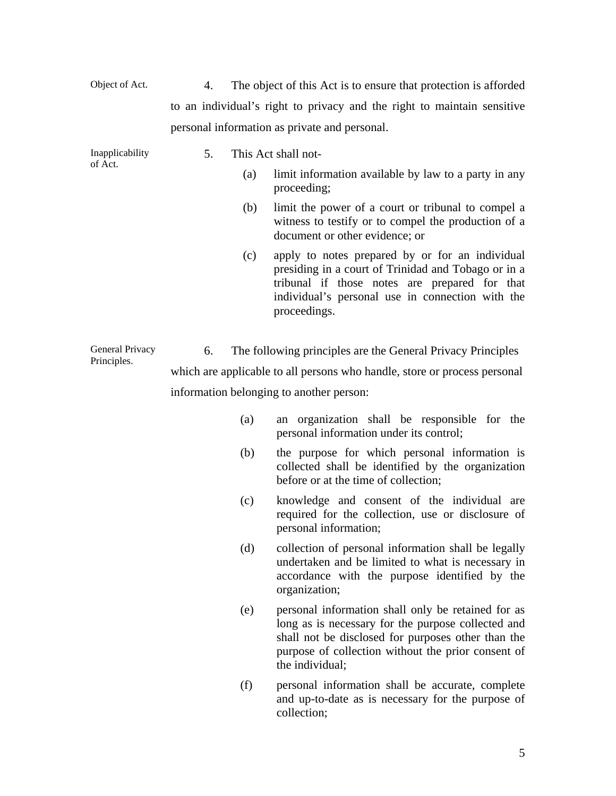| Object of Act.  | 4.                                                                        |                                               | The object of this Act is to ensure that protection is afforded                                                                                                                                                                         |  |  |  |
|-----------------|---------------------------------------------------------------------------|-----------------------------------------------|-----------------------------------------------------------------------------------------------------------------------------------------------------------------------------------------------------------------------------------------|--|--|--|
|                 |                                                                           |                                               | to an individual's right to privacy and the right to maintain sensitive                                                                                                                                                                 |  |  |  |
|                 |                                                                           | personal information as private and personal. |                                                                                                                                                                                                                                         |  |  |  |
| Inapplicability | 5.                                                                        |                                               | This Act shall not-                                                                                                                                                                                                                     |  |  |  |
| of Act.         |                                                                           | (a)                                           | limit information available by law to a party in any<br>proceeding;                                                                                                                                                                     |  |  |  |
|                 |                                                                           | (b)                                           | limit the power of a court or tribunal to compel a<br>witness to testify or to compel the production of a<br>document or other evidence; or                                                                                             |  |  |  |
|                 |                                                                           | (c)                                           | apply to notes prepared by or for an individual<br>presiding in a court of Trinidad and Tobago or in a<br>tribunal if those notes are prepared for that<br>individual's personal use in connection with the<br>proceedings.             |  |  |  |
| General Privacy | 6.                                                                        |                                               | The following principles are the General Privacy Principles                                                                                                                                                                             |  |  |  |
| Principles.     | which are applicable to all persons who handle, store or process personal |                                               |                                                                                                                                                                                                                                         |  |  |  |
|                 | information belonging to another person:                                  |                                               |                                                                                                                                                                                                                                         |  |  |  |
|                 |                                                                           | (a)                                           | an organization shall be responsible for the<br>personal information under its control;                                                                                                                                                 |  |  |  |
|                 |                                                                           | (b)                                           | the purpose for which personal information is<br>collected shall be identified by the organization<br>before or at the time of collection;                                                                                              |  |  |  |
|                 |                                                                           | (c)                                           | knowledge and consent of the individual are<br>required for the collection, use or disclosure of<br>personal information;                                                                                                               |  |  |  |
|                 |                                                                           | (d)                                           | collection of personal information shall be legally<br>undertaken and be limited to what is necessary in<br>accordance with the purpose identified by the<br>organization;                                                              |  |  |  |
|                 |                                                                           | (e)                                           | personal information shall only be retained for as<br>long as is necessary for the purpose collected and<br>shall not be disclosed for purposes other than the<br>purpose of collection without the prior consent of<br>the individual; |  |  |  |
|                 |                                                                           | (f)                                           | personal information shall be accurate, complete<br>and up-to-date as is necessary for the purpose of<br>collection;                                                                                                                    |  |  |  |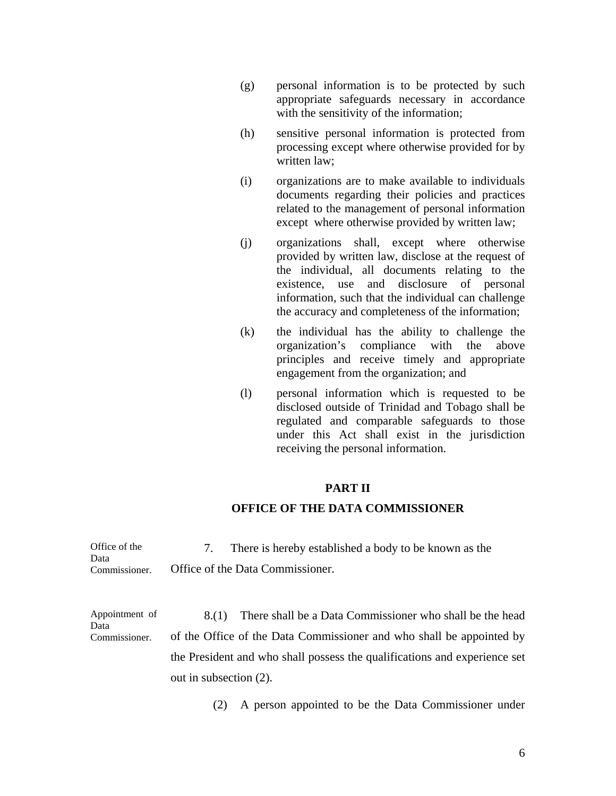- (g) personal information is to be protected by such appropriate safeguards necessary in accordance with the sensitivity of the information;
- (h) sensitive personal information is protected from processing except where otherwise provided for by written law;
- (i) organizations are to make available to individuals documents regarding their policies and practices related to the management of personal information except where otherwise provided by written law;
- (j) organizations shall, except where otherwise provided by written law, disclose at the request of the individual, all documents relating to the existence, use and disclosure of personal information, such that the individual can challenge the accuracy and completeness of the information;
- (k) the individual has the ability to challenge the organization's compliance with the above principles and receive timely and appropriate engagement from the organization; and
- (l) personal information which is requested to be disclosed outside of Trinidad and Tobago shall be regulated and comparable safeguards to those under this Act shall exist in the jurisdiction receiving the personal information.

## **PART II**

#### **OFFICE OF THE DATA COMMISSIONER**

| Office of the | There is hereby established a body to be known as the |
|---------------|-------------------------------------------------------|
| Data          |                                                       |
| Commissioner. | Office of the Data Commissioner.                      |

Appointment of Data Commissioner. 8.(1) There shall be a Data Commissioner who shall be the head of the Office of the Data Commissioner and who shall be appointed by the President and who shall possess the qualifications and experience set out in subsection (2).

(2) A person appointed to be the Data Commissioner under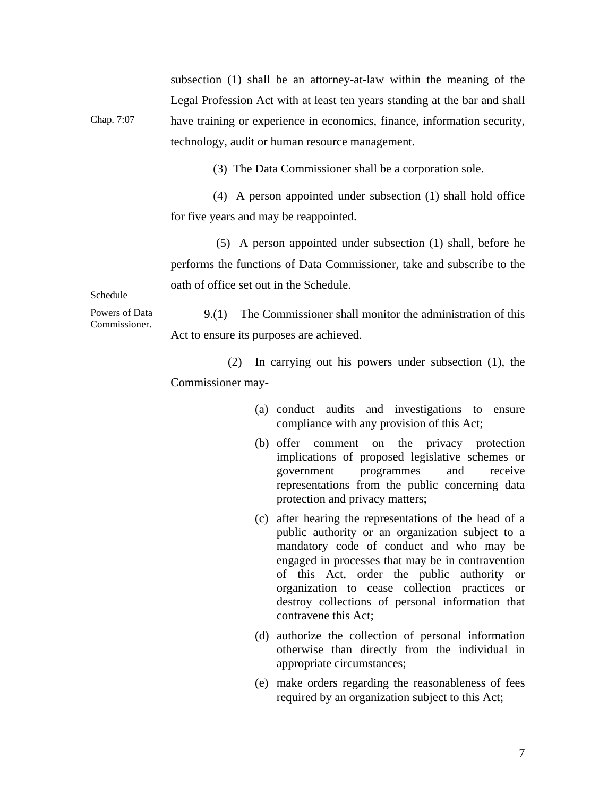Chap. 7:07 subsection (1) shall be an attorney-at-law within the meaning of the Legal Profession Act with at least ten years standing at the bar and shall have training or experience in economics, finance, information security, technology, audit or human resource management.

(3) The Data Commissioner shall be a corporation sole.

(4) A person appointed under subsection (1) shall hold office for five years and may be reappointed.

 (5) A person appointed under subsection (1) shall, before he performs the functions of Data Commissioner, take and subscribe to the oath of office set out in the Schedule.

Schedule

Powers of Data Commissioner.

9.(1) The Commissioner shall monitor the administration of this Act to ensure its purposes are achieved.

(2) In carrying out his powers under subsection (1), the Commissioner may-

- (a) conduct audits and investigations to ensure compliance with any provision of this Act;
- (b) offer comment on the privacy protection implications of proposed legislative schemes or government programmes and receive representations from the public concerning data protection and privacy matters;
- (c) after hearing the representations of the head of a public authority or an organization subject to a mandatory code of conduct and who may be engaged in processes that may be in contravention of this Act, order the public authority or organization to cease collection practices or destroy collections of personal information that contravene this Act;
- (d) authorize the collection of personal information otherwise than directly from the individual in appropriate circumstances;
- (e) make orders regarding the reasonableness of fees required by an organization subject to this Act;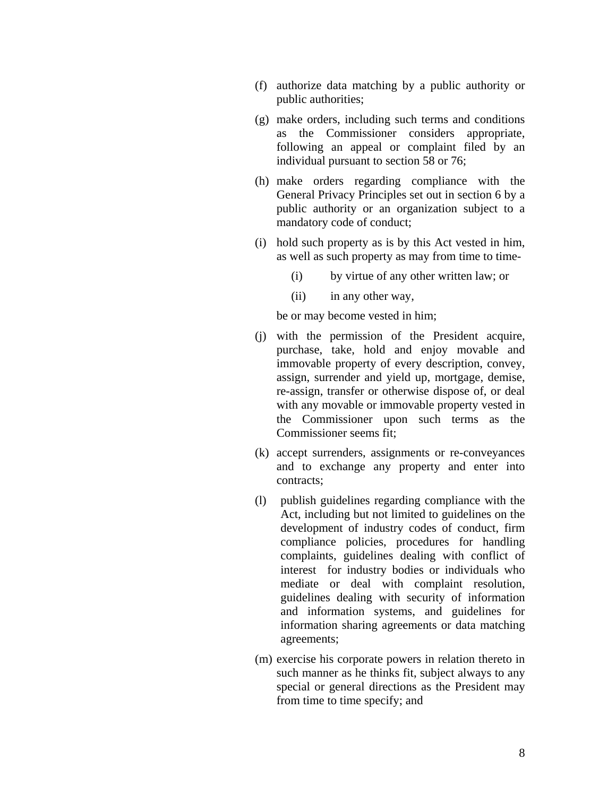- (f) authorize data matching by a public authority or public authorities;
- (g) make orders, including such terms and conditions as the Commissioner considers appropriate, following an appeal or complaint filed by an individual pursuant to section 58 or 76;
- (h) make orders regarding compliance with the General Privacy Principles set out in section 6 by a public authority or an organization subject to a mandatory code of conduct;
- (i) hold such property as is by this Act vested in him, as well as such property as may from time to time-
	- (i) by virtue of any other written law; or
	- (ii) in any other way,

be or may become vested in him;

- (j) with the permission of the President acquire, purchase, take, hold and enjoy movable and immovable property of every description, convey, assign, surrender and yield up, mortgage, demise, re-assign, transfer or otherwise dispose of, or deal with any movable or immovable property vested in the Commissioner upon such terms as the Commissioner seems fit;
- (k) accept surrenders, assignments or re-conveyances and to exchange any property and enter into contracts;
- (l) publish guidelines regarding compliance with the Act, including but not limited to guidelines on the development of industry codes of conduct, firm compliance policies, procedures for handling complaints, guidelines dealing with conflict of interest for industry bodies or individuals who mediate or deal with complaint resolution, guidelines dealing with security of information and information systems, and guidelines for information sharing agreements or data matching agreements;
- (m) exercise his corporate powers in relation thereto in such manner as he thinks fit, subject always to any special or general directions as the President may from time to time specify; and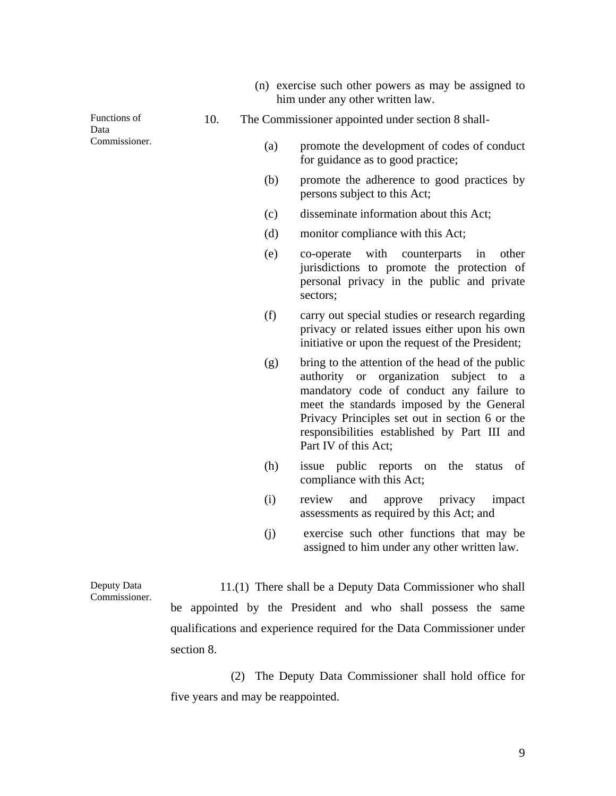(n) exercise such other powers as may be assigned to him under any other written law.

Functions of Data Commissioner.

- 10. The Commissioner appointed under section 8 shall-
	- (a) promote the development of codes of conduct for guidance as to good practice;
	- (b) promote the adherence to good practices by persons subject to this Act;
	- (c) disseminate information about this Act;
	- (d) monitor compliance with this Act;
	- (e) co-operate with counterparts in other jurisdictions to promote the protection of personal privacy in the public and private sectors;
	- (f) carry out special studies or research regarding privacy or related issues either upon his own initiative or upon the request of the President;
	- (g) bring to the attention of the head of the public authority or organization subject to a mandatory code of conduct any failure to meet the standards imposed by the General Privacy Principles set out in section 6 or the responsibilities established by Part III and Part IV of this Act;
	- (h) issue public reports on the status of compliance with this Act;
	- (i) review and approve privacy impact assessments as required by this Act; and
	- (j) exercise such other functions that may be assigned to him under any other written law.

Deputy Data Commissioner. 11.(1) There shall be a Deputy Data Commissioner who shall be appointed by the President and who shall possess the same qualifications and experience required for the Data Commissioner under section 8.

> (2) The Deputy Data Commissioner shall hold office for five years and may be reappointed.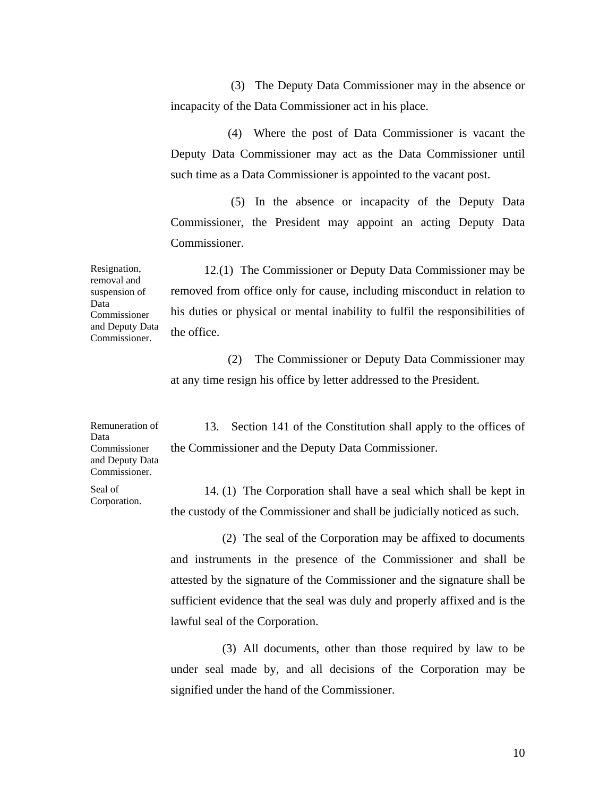(3) The Deputy Data Commissioner may in the absence or incapacity of the Data Commissioner act in his place.

(4) Where the post of Data Commissioner is vacant the Deputy Data Commissioner may act as the Data Commissioner until such time as a Data Commissioner is appointed to the vacant post.

 (5) In the absence or incapacity of the Deputy Data Commissioner, the President may appoint an acting Deputy Data Commissioner.

Resignation, removal and suspension of Data Commissioner and Deputy Data Commissioner. 12.(1) The Commissioner or Deputy Data Commissioner may be removed from office only for cause, including misconduct in relation to his duties or physical or mental inability to fulfil the responsibilities of the office.

> (2) The Commissioner or Deputy Data Commissioner may at any time resign his office by letter addressed to the President.

Remuneration of Data Commissioner and Deputy Data Commissioner.

13. Section 141 of the Constitution shall apply to the offices of the Commissioner and the Deputy Data Commissioner.

Seal of Corporation.

14. (1) The Corporation shall have a seal which shall be kept in the custody of the Commissioner and shall be judicially noticed as such.

 (2) The seal of the Corporation may be affixed to documents and instruments in the presence of the Commissioner and shall be attested by the signature of the Commissioner and the signature shall be sufficient evidence that the seal was duly and properly affixed and is the lawful seal of the Corporation.

 (3) All documents, other than those required by law to be under seal made by, and all decisions of the Corporation may be signified under the hand of the Commissioner.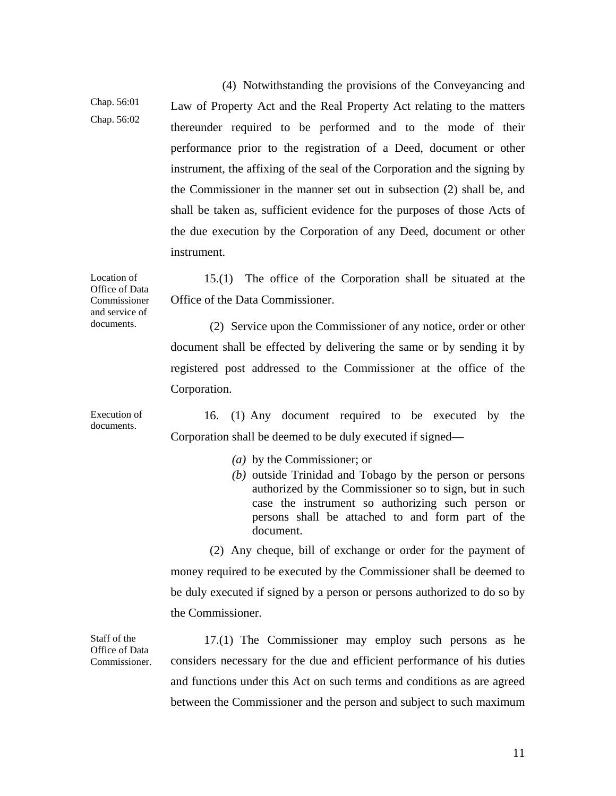Chap. 56:01 Chap. 56:02 (4) Notwithstanding the provisions of the Conveyancing and Law of Property Act and the Real Property Act relating to the matters thereunder required to be performed and to the mode of their performance prior to the registration of a Deed, document or other instrument, the affixing of the seal of the Corporation and the signing by the Commissioner in the manner set out in subsection (2) shall be, and shall be taken as, sufficient evidence for the purposes of those Acts of the due execution by the Corporation of any Deed, document or other instrument. Location of

Office of Data Commissioner and service of 15.(1) The office of the Corporation shall be situated at the Office of the Data Commissioner.

> (2) Service upon the Commissioner of any notice, order or other document shall be effected by delivering the same or by sending it by registered post addressed to the Commissioner at the office of the Corporation.

Execution of documents. 16. (1) Any document required to be executed by the Corporation shall be deemed to be duly executed if signed—

- *(a)* by the Commissioner; or
- *(b)* outside Trinidad and Tobago by the person or persons authorized by the Commissioner so to sign, but in such case the instrument so authorizing such person or persons shall be attached to and form part of the document.

 (2) Any cheque, bill of exchange or order for the payment of money required to be executed by the Commissioner shall be deemed to be duly executed if signed by a person or persons authorized to do so by the Commissioner.

Staff of the Office of Data Commissioner.

documents.

17.(1) The Commissioner may employ such persons as he considers necessary for the due and efficient performance of his duties and functions under this Act on such terms and conditions as are agreed between the Commissioner and the person and subject to such maximum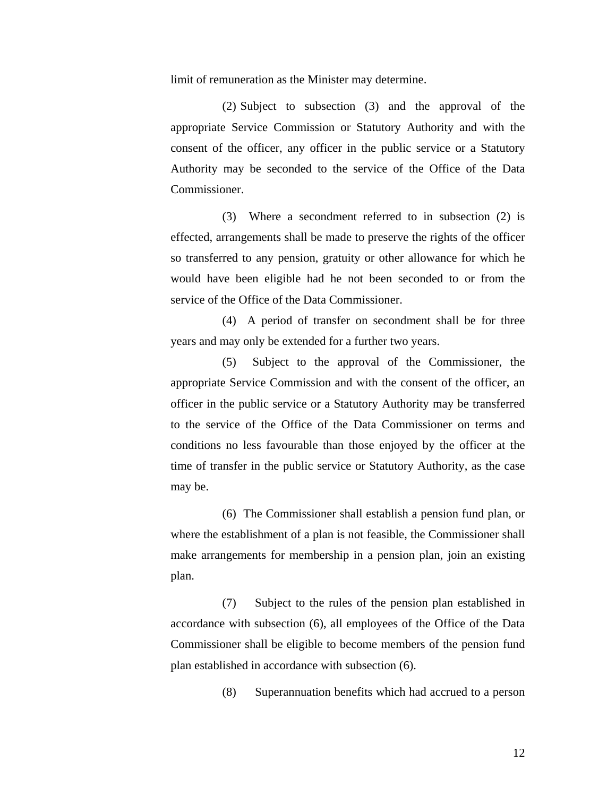limit of remuneration as the Minister may determine.

(2) Subject to subsection (3) and the approval of the appropriate Service Commission or Statutory Authority and with the consent of the officer, any officer in the public service or a Statutory Authority may be seconded to the service of the Office of the Data Commissioner.

(3) Where a secondment referred to in subsection (2) is effected, arrangements shall be made to preserve the rights of the officer so transferred to any pension, gratuity or other allowance for which he would have been eligible had he not been seconded to or from the service of the Office of the Data Commissioner.

(4) A period of transfer on secondment shall be for three years and may only be extended for a further two years.

(5) Subject to the approval of the Commissioner, the appropriate Service Commission and with the consent of the officer, an officer in the public service or a Statutory Authority may be transferred to the service of the Office of the Data Commissioner on terms and conditions no less favourable than those enjoyed by the officer at the time of transfer in the public service or Statutory Authority, as the case may be.

 (6) The Commissioner shall establish a pension fund plan, or where the establishment of a plan is not feasible, the Commissioner shall make arrangements for membership in a pension plan, join an existing plan.

(7) Subject to the rules of the pension plan established in accordance with subsection (6), all employees of the Office of the Data Commissioner shall be eligible to become members of the pension fund plan established in accordance with subsection (6).

(8) Superannuation benefits which had accrued to a person

12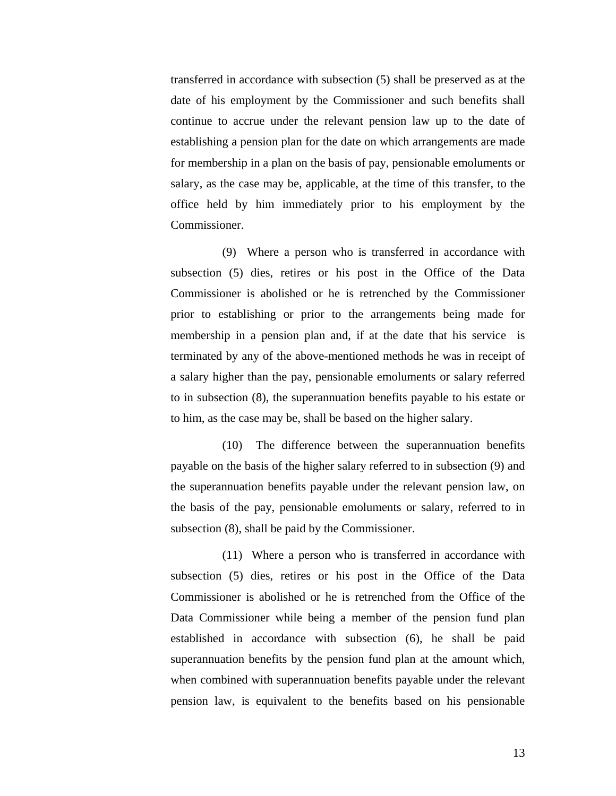transferred in accordance with subsection (5) shall be preserved as at the date of his employment by the Commissioner and such benefits shall continue to accrue under the relevant pension law up to the date of establishing a pension plan for the date on which arrangements are made for membership in a plan on the basis of pay, pensionable emoluments or salary, as the case may be, applicable, at the time of this transfer, to the office held by him immediately prior to his employment by the Commissioner.

(9) Where a person who is transferred in accordance with subsection (5) dies, retires or his post in the Office of the Data Commissioner is abolished or he is retrenched by the Commissioner prior to establishing or prior to the arrangements being made for membership in a pension plan and, if at the date that his service is terminated by any of the above-mentioned methods he was in receipt of a salary higher than the pay, pensionable emoluments or salary referred to in subsection (8), the superannuation benefits payable to his estate or to him, as the case may be, shall be based on the higher salary.

(10) The difference between the superannuation benefits payable on the basis of the higher salary referred to in subsection (9) and the superannuation benefits payable under the relevant pension law, on the basis of the pay, pensionable emoluments or salary, referred to in subsection (8), shall be paid by the Commissioner.

(11) Where a person who is transferred in accordance with subsection (5) dies, retires or his post in the Office of the Data Commissioner is abolished or he is retrenched from the Office of the Data Commissioner while being a member of the pension fund plan established in accordance with subsection (6), he shall be paid superannuation benefits by the pension fund plan at the amount which, when combined with superannuation benefits payable under the relevant pension law, is equivalent to the benefits based on his pensionable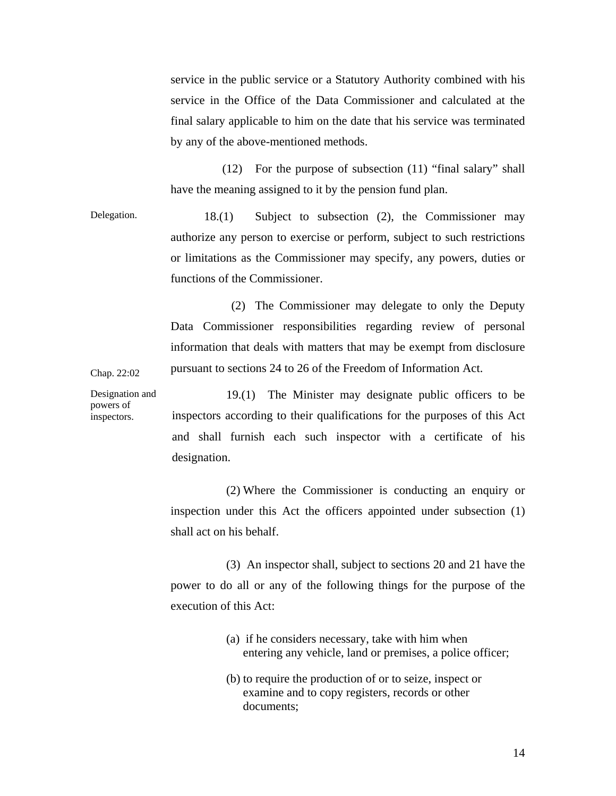service in the public service or a Statutory Authority combined with his service in the Office of the Data Commissioner and calculated at the final salary applicable to him on the date that his service was terminated by any of the above-mentioned methods.

(12) For the purpose of subsection (11) "final salary" shall have the meaning assigned to it by the pension fund plan.

Delegation. 18.(1) Subject to subsection (2), the Commissioner may authorize any person to exercise or perform, subject to such restrictions or limitations as the Commissioner may specify, any powers, duties or functions of the Commissioner.

> (2) The Commissioner may delegate to only the Deputy Data Commissioner responsibilities regarding review of personal information that deals with matters that may be exempt from disclosure pursuant to sections 24 to 26 of the Freedom of Information Act.

Chap. 22:02

Designation and powers of inspectors.

19.(1) The Minister may designate public officers to be inspectors according to their qualifications for the purposes of this Act and shall furnish each such inspector with a certificate of his designation.

(2) Where the Commissioner is conducting an enquiry or inspection under this Act the officers appointed under subsection (1) shall act on his behalf.

(3) An inspector shall, subject to sections 20 and 21 have the power to do all or any of the following things for the purpose of the execution of this Act:

- (a) if he considers necessary, take with him when entering any vehicle, land or premises, a police officer;
- (b) to require the production of or to seize, inspect or examine and to copy registers, records or other documents;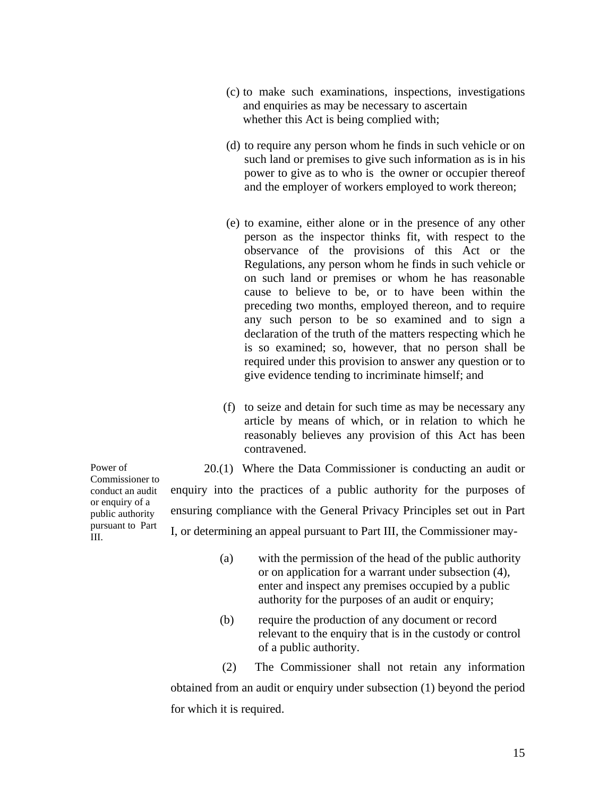- (c) to make such examinations, inspections, investigations and enquiries as may be necessary to ascertain whether this Act is being complied with;
- (d) to require any person whom he finds in such vehicle or on such land or premises to give such information as is in his power to give as to who is the owner or occupier thereof and the employer of workers employed to work thereon;
- (e) to examine, either alone or in the presence of any other person as the inspector thinks fit, with respect to the observance of the provisions of this Act or the Regulations, any person whom he finds in such vehicle or on such land or premises or whom he has reasonable cause to believe to be, or to have been within the preceding two months, employed thereon, and to require any such person to be so examined and to sign a declaration of the truth of the matters respecting which he is so examined; so, however, that no person shall be required under this provision to answer any question or to give evidence tending to incriminate himself; and
- (f) to seize and detain for such time as may be necessary any article by means of which, or in relation to which he reasonably believes any provision of this Act has been contravened.

20.(1) Where the Data Commissioner is conducting an audit or enquiry into the practices of a public authority for the purposes of ensuring compliance with the General Privacy Principles set out in Part I, or determining an appeal pursuant to Part III, the Commissioner may-

- (a) with the permission of the head of the public authority or on application for a warrant under subsection (4), enter and inspect any premises occupied by a public authority for the purposes of an audit or enquiry;
- (b) require the production of any document or record relevant to the enquiry that is in the custody or control of a public authority.

(2) The Commissioner shall not retain any information obtained from an audit or enquiry under subsection (1) beyond the period for which it is required.

Power of Commissioner to conduct an audit or enquiry of a public authority pursuant to Part III.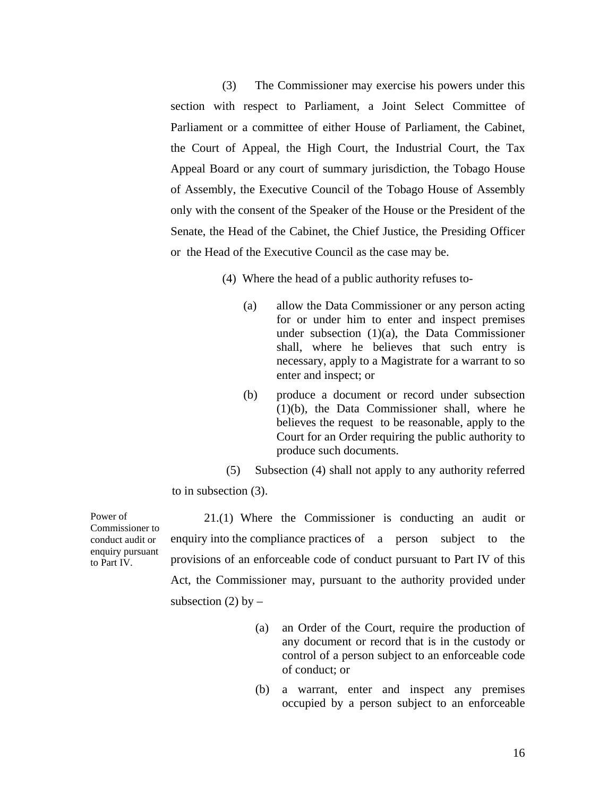(3) The Commissioner may exercise his powers under this section with respect to Parliament, a Joint Select Committee of Parliament or a committee of either House of Parliament, the Cabinet, the Court of Appeal, the High Court, the Industrial Court, the Tax Appeal Board or any court of summary jurisdiction, the Tobago House of Assembly, the Executive Council of the Tobago House of Assembly only with the consent of the Speaker of the House or the President of the Senate, the Head of the Cabinet, the Chief Justice, the Presiding Officer or the Head of the Executive Council as the case may be.

(4) Where the head of a public authority refuses to-

- (a) allow the Data Commissioner or any person acting for or under him to enter and inspect premises under subsection (1)(a), the Data Commissioner shall, where he believes that such entry is necessary, apply to a Magistrate for a warrant to so enter and inspect; or
- (b) produce a document or record under subsection (1)(b), the Data Commissioner shall, where he believes the request to be reasonable, apply to the Court for an Order requiring the public authority to produce such documents.
- (5) Subsection (4) shall not apply to any authority referred

to in subsection (3).

Power of Commissioner to conduct audit or enquiry pursuant to Part IV.

21.(1) Where the Commissioner is conducting an audit or enquiry into the compliance practices of a person subject to the provisions of an enforceable code of conduct pursuant to Part IV of this Act, the Commissioner may, pursuant to the authority provided under subsection (2) by  $-$ 

- (a) an Order of the Court, require the production of any document or record that is in the custody or control of a person subject to an enforceable code of conduct; or
- (b) a warrant, enter and inspect any premises occupied by a person subject to an enforceable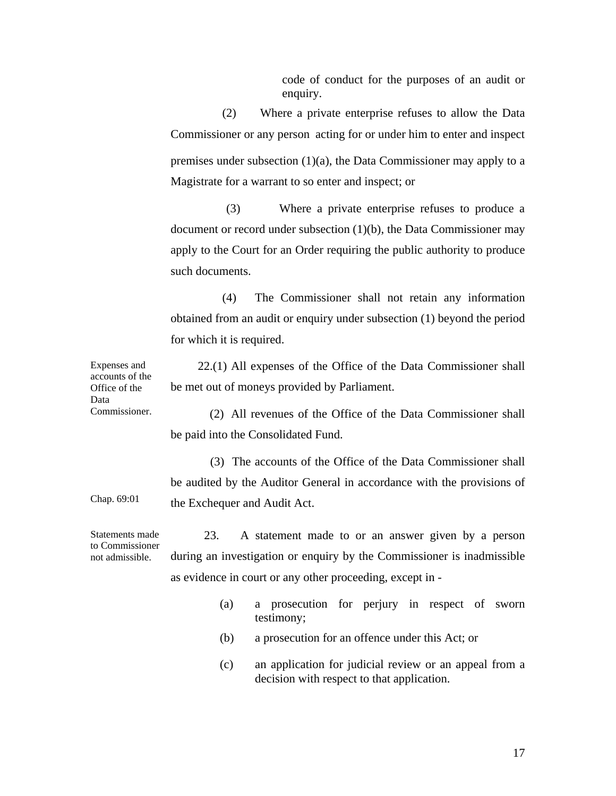code of conduct for the purposes of an audit or enquiry.

(2) Where a private enterprise refuses to allow the Data Commissioner or any person acting for or under him to enter and inspect premises under subsection (1)(a), the Data Commissioner may apply to a Magistrate for a warrant to so enter and inspect; or

(3) Where a private enterprise refuses to produce a document or record under subsection (1)(b), the Data Commissioner may apply to the Court for an Order requiring the public authority to produce such documents.

(4) The Commissioner shall not retain any information obtained from an audit or enquiry under subsection (1) beyond the period for which it is required.

22.(1) All expenses of the Office of the Data Commissioner shall be met out of moneys provided by Parliament.

 (2) All revenues of the Office of the Data Commissioner shall be paid into the Consolidated Fund.

(3)The accounts of the Office of the Data Commissioner shall be audited by the Auditor General in accordance with the provisions of the Exchequer and Audit Act.

Statements made to Commissioner 23. A statement made to or an answer given by a person during an investigation or enquiry by the Commissioner is inadmissible as evidence in court or any other proceeding, except in -

- (a) a prosecution for perjury in respect of sworn testimony;
- (b) a prosecution for an offence under this Act; or
- (c) an application for judicial review or an appeal from a decision with respect to that application.

accounts of the Office of the Data Commissioner.

Chap. 69:01

not admissible.

Expenses and

17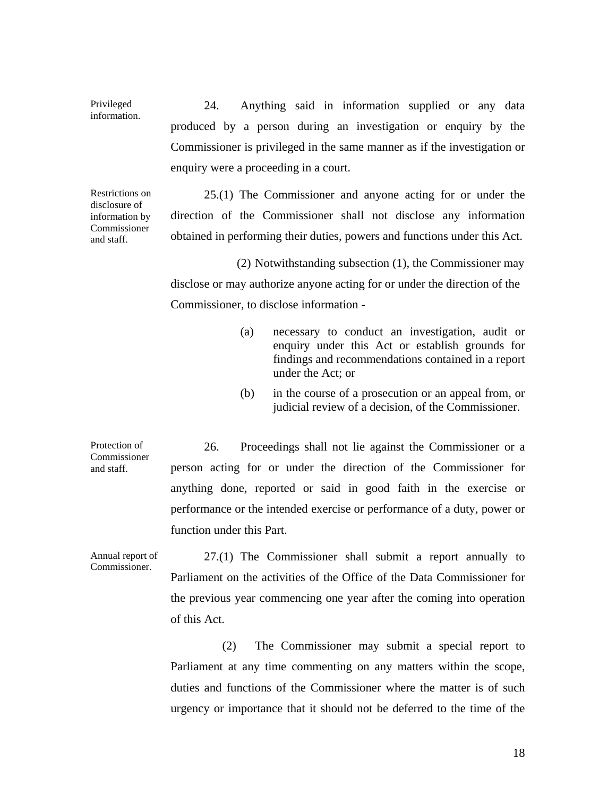24. Anything said in information supplied or any data produced by a person during an investigation or enquiry by the Commissioner is privileged in the same manner as if the investigation or enquiry were a proceeding in a court.

Restrictions on disclosure of information by Commissioner and staff.

Privileged information.

> 25.(1) The Commissioner and anyone acting for or under the direction of the Commissioner shall not disclose any information obtained in performing their duties, powers and functions under this Act.

> (2) Notwithstanding subsection (1), the Commissioner may disclose or may authorize anyone acting for or under the direction of the Commissioner, to disclose information -

- (a) necessary to conduct an investigation, audit or enquiry under this Act or establish grounds for findings and recommendations contained in a report under the Act; or
- (b) in the course of a prosecution or an appeal from, or judicial review of a decision, of the Commissioner.

Protection of Commissioner and staff. 26. Proceedings shall not lie against the Commissioner or a person acting for or under the direction of the Commissioner for anything done, reported or said in good faith in the exercise or performance or the intended exercise or performance of a duty, power or function under this Part.

Annual report of Commissioner. 27.(1) The Commissioner shall submit a report annually to Parliament on the activities of the Office of the Data Commissioner for the previous year commencing one year after the coming into operation of this Act.

> (2) The Commissioner may submit a special report to Parliament at any time commenting on any matters within the scope, duties and functions of the Commissioner where the matter is of such urgency or importance that it should not be deferred to the time of the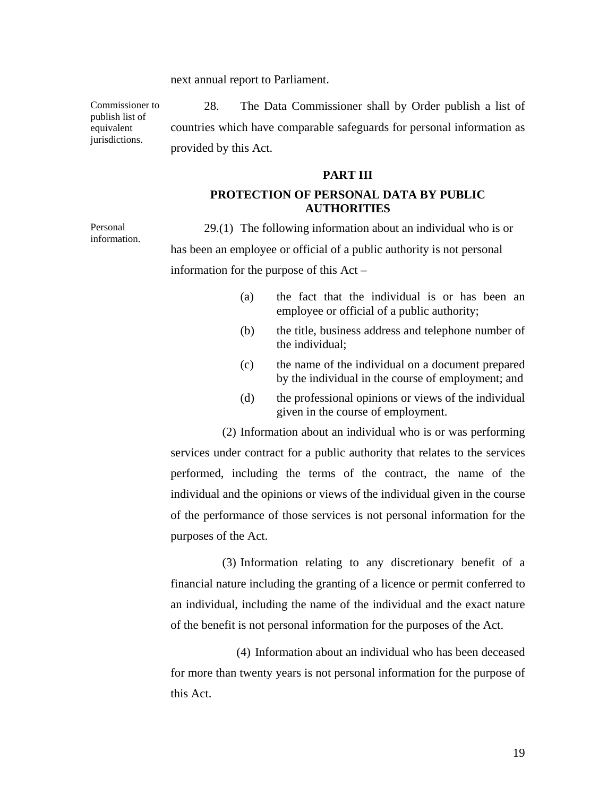next annual report to Parliament.

Commissioner to publish list of equivalent jurisdictions.

Personal information.

28. The Data Commissioner shall by Order publish a list of countries which have comparable safeguards for personal information as provided by this Act.

#### **PART III**

### **PROTECTION OF PERSONAL DATA BY PUBLIC AUTHORITIES**

29.(1) The following information about an individual who is or has been an employee or official of a public authority is not personal information for the purpose of this Act –

- (a) the fact that the individual is or has been an employee or official of a public authority;
- (b) the title, business address and telephone number of the individual;
- (c) the name of the individual on a document prepared by the individual in the course of employment; and
- (d) the professional opinions or views of the individual given in the course of employment.

(2) Information about an individual who is or was performing services under contract for a public authority that relates to the services performed, including the terms of the contract, the name of the individual and the opinions or views of the individual given in the course of the performance of those services is not personal information for the purposes of the Act.

(3) Information relating to any discretionary benefit of a financial nature including the granting of a licence or permit conferred to an individual, including the name of the individual and the exact nature of the benefit is not personal information for the purposes of the Act.

(4) Information about an individual who has been deceased for more than twenty years is not personal information for the purpose of this Act.

19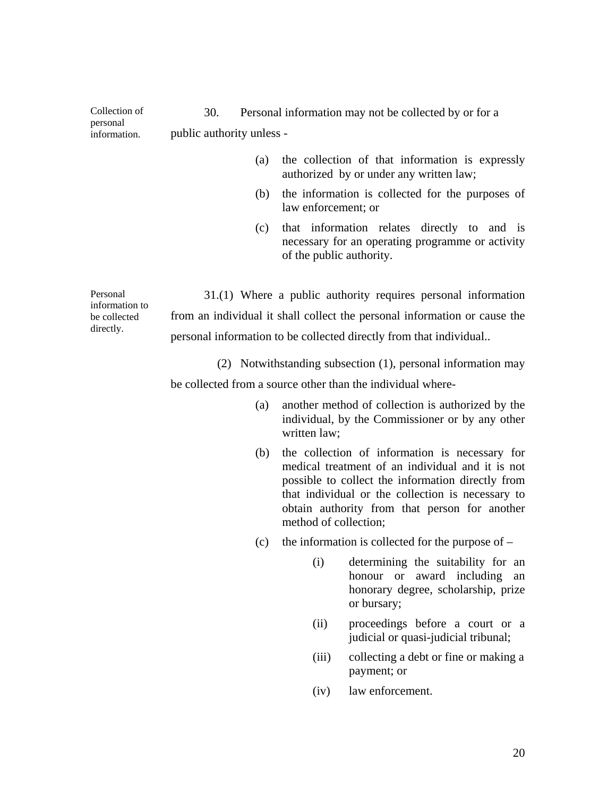| personal<br>information. | public authority unless - |                                                                                                                             |
|--------------------------|---------------------------|-----------------------------------------------------------------------------------------------------------------------------|
|                          | (a)                       | the collection of that information is expressly<br>authorized by or under any written law;                                  |
|                          | (b)                       | the information is collected for the purposes of<br>law enforcement; or                                                     |
|                          | (c)                       | that information relates directly to and is<br>necessary for an operating programme or activity<br>of the public authority. |
| Personal                 |                           | 31(1) Where a public authority requires personal information                                                                |

Collection of

information to be collected directly.

31.(1) Where a public authority requires personal information from an individual it shall collect the personal information or cause the personal information to be collected directly from that individual..

30. Personal information may not be collected by or for a

(2) Notwithstanding subsection (1), personal information may be collected from a source other than the individual where-

- (a) another method of collection is authorized by the individual, by the Commissioner or by any other written law;
- (b) the collection of information is necessary for medical treatment of an individual and it is not possible to collect the information directly from that individual or the collection is necessary to obtain authority from that person for another method of collection;
- (c) the information is collected for the purpose of
	- (i) determining the suitability for an honour or award including an honorary degree, scholarship, prize or bursary;
	- (ii) proceedings before a court or a judicial or quasi-judicial tribunal;
	- (iii) collecting a debt or fine or making a payment; or
	- (iv) law enforcement.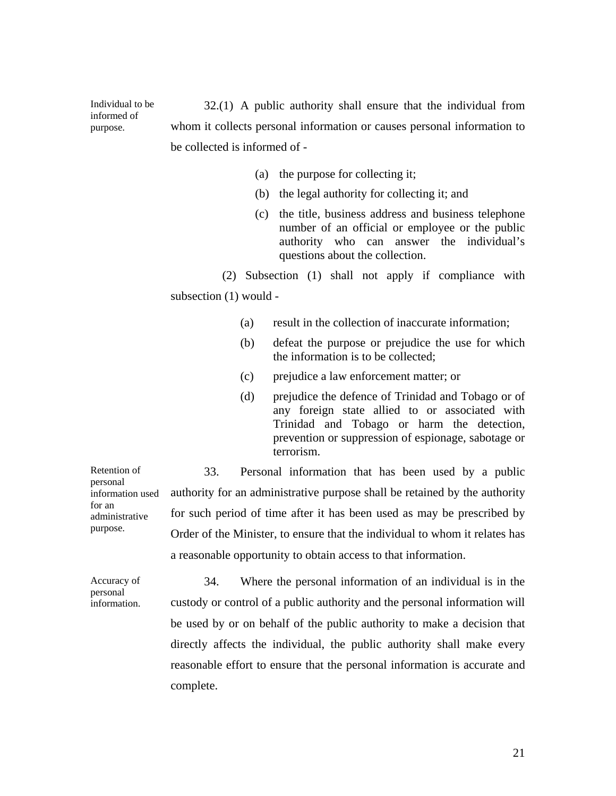32.(1) A public authority shall ensure that the individual from whom it collects personal information or causes personal information to be collected is informed of -

- (a) the purpose for collecting it;
- (b) the legal authority for collecting it; and
- (c) the title, business address and business telephone number of an official or employee or the public authority who can answer the individual's questions about the collection.

(2) Subsection (1) shall not apply if compliance with subsection (1) would -

- (a) result in the collection of inaccurate information;
- (b) defeat the purpose or prejudice the use for which the information is to be collected;
- (c) prejudice a law enforcement matter; or
- (d) prejudice the defence of Trinidad and Tobago or of any foreign state allied to or associated with Trinidad and Tobago or harm the detection, prevention or suppression of espionage, sabotage or terrorism.

33. Personal information that has been used by a public authority for an administrative purpose shall be retained by the authority for such period of time after it has been used as may be prescribed by Order of the Minister, to ensure that the individual to whom it relates has a reasonable opportunity to obtain access to that information.

Accuracy of personal information. 34. Where the personal information of an individual is in the custody or control of a public authority and the personal information will be used by or on behalf of the public authority to make a decision that directly affects the individual, the public authority shall make every reasonable effort to ensure that the personal information is accurate and complete.

Retention of personal information used for an administrative purpose.

Individual to be informed of purpose.

21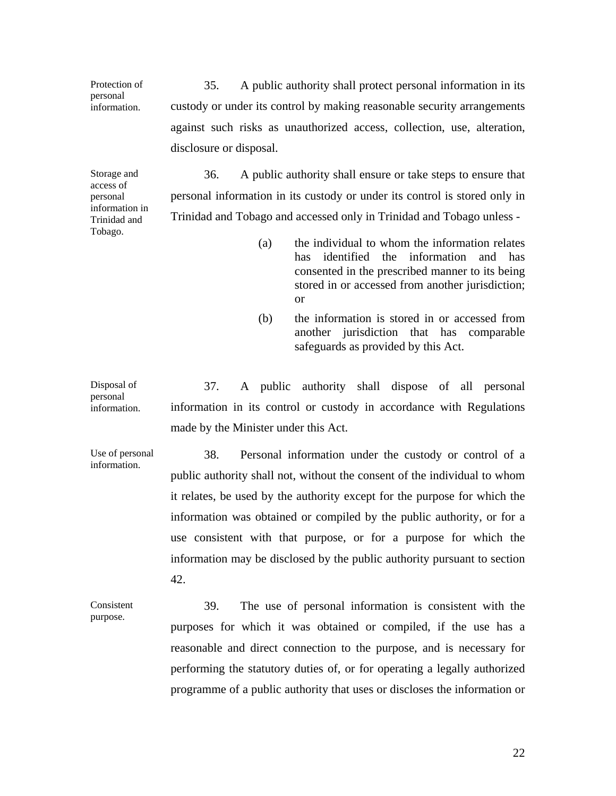35. A public authority shall protect personal information in its custody or under its control by making reasonable security arrangements against such risks as unauthorized access, collection, use, alteration, disclosure or disposal.

Storage and access of personal information in Trinidad and Tobago.

Protection of personal information.

> 36. A public authority shall ensure or take steps to ensure that personal information in its custody or under its control is stored only in Trinidad and Tobago and accessed only in Trinidad and Tobago unless -

- (a) the individual to whom the information relates has identified the information and has consented in the prescribed manner to its being stored in or accessed from another jurisdiction; or
- (b) the information is stored in or accessed from another jurisdiction that has comparable safeguards as provided by this Act.

Disposal of information. 37. A public authority shall dispose of all personal information in its control or custody in accordance with Regulations made by the Minister under this Act.

Use of personal information.

personal

public authority shall not, without the consent of the individual to whom it relates, be used by the authority except for the purpose for which the information was obtained or compiled by the public authority, or for a use consistent with that purpose, or for a purpose for which the information may be disclosed by the public authority pursuant to section 42.

Consistent purpose.

39. The use of personal information is consistent with the purposes for which it was obtained or compiled, if the use has a reasonable and direct connection to the purpose, and is necessary for performing the statutory duties of, or for operating a legally authorized programme of a public authority that uses or discloses the information or

38. Personal information under the custody or control of a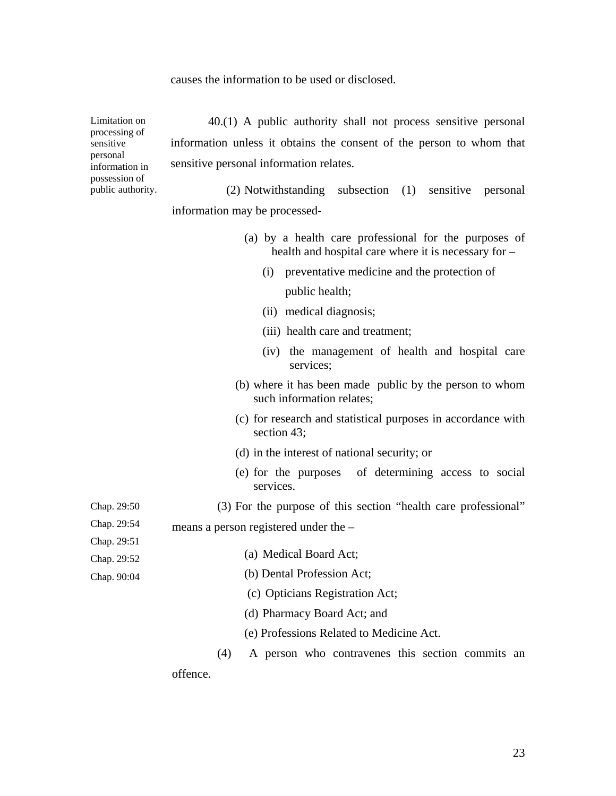causes the information to be used or disclosed.

Limitation on processing of sensitive personal information in possession of public authority. Chap. 29:50 Chap. 29:54 Chap. 29:51 Chap. 29:52 Chap. 90:04 40.(1) A public authority shall not process sensitive personal information unless it obtains the consent of the person to whom that sensitive personal information relates. (2) Notwithstanding subsection (1) sensitive personal information may be processed- (a) by a health care professional for the purposes of health and hospital care where it is necessary for – (i) preventative medicine and the protection of public health; (ii) medical diagnosis; (iii) health care and treatment; (iv) the management of health and hospital care services; (b) where it has been made public by the person to whom such information relates; (c) for research and statistical purposes in accordance with section 43; (d) in the interest of national security; or (e) for the purposes of determining access to social services. (3) For the purpose of this section "health care professional" means a person registered under the – (a) Medical Board Act; (b) Dental Profession Act; (c) Opticians Registration Act; (d) Pharmacy Board Act; and (e) Professions Related to Medicine Act. (4) A person who contravenes this section commits an offence.

23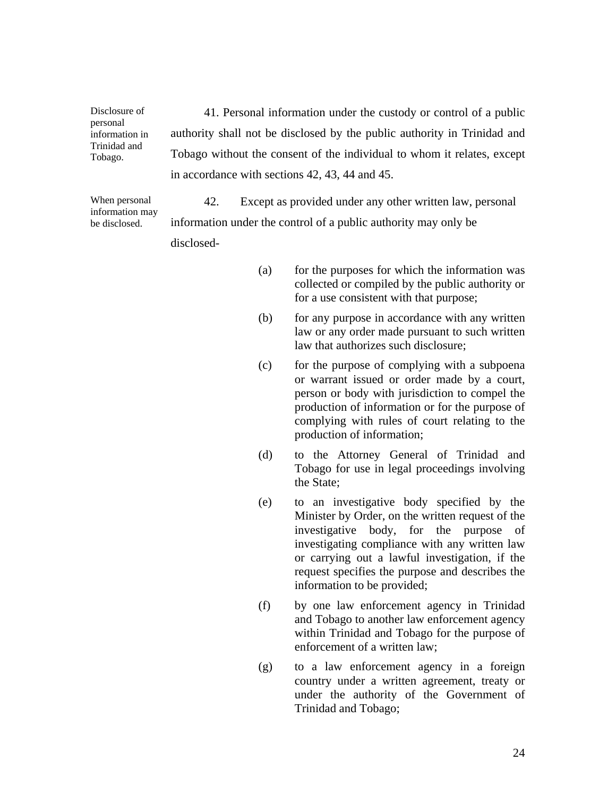41. Personal information under the custody or control of a public authority shall not be disclosed by the public authority in Trinidad and Tobago without the consent of the individual to whom it relates, except in accordance with sections 42, 43, 44 and 45.

When personal information may be disclosed.

Disclosure of personal information in Trinidad and Tobago.

> 42. Except as provided under any other written law, personal information under the control of a public authority may only be disclosed-

- (a) for the purposes for which the information was collected or compiled by the public authority or for a use consistent with that purpose;
- (b) for any purpose in accordance with any written law or any order made pursuant to such written law that authorizes such disclosure;
- (c) for the purpose of complying with a subpoena or warrant issued or order made by a court, person or body with jurisdiction to compel the production of information or for the purpose of complying with rules of court relating to the production of information;
- (d) to the Attorney General of Trinidad and Tobago for use in legal proceedings involving the State;
- (e) to an investigative body specified by the Minister by Order, on the written request of the investigative body, for the purpose of investigating compliance with any written law or carrying out a lawful investigation, if the request specifies the purpose and describes the information to be provided;
- (f) by one law enforcement agency in Trinidad and Tobago to another law enforcement agency within Trinidad and Tobago for the purpose of enforcement of a written law;
- (g) to a law enforcement agency in a foreign country under a written agreement, treaty or under the authority of the Government of Trinidad and Tobago;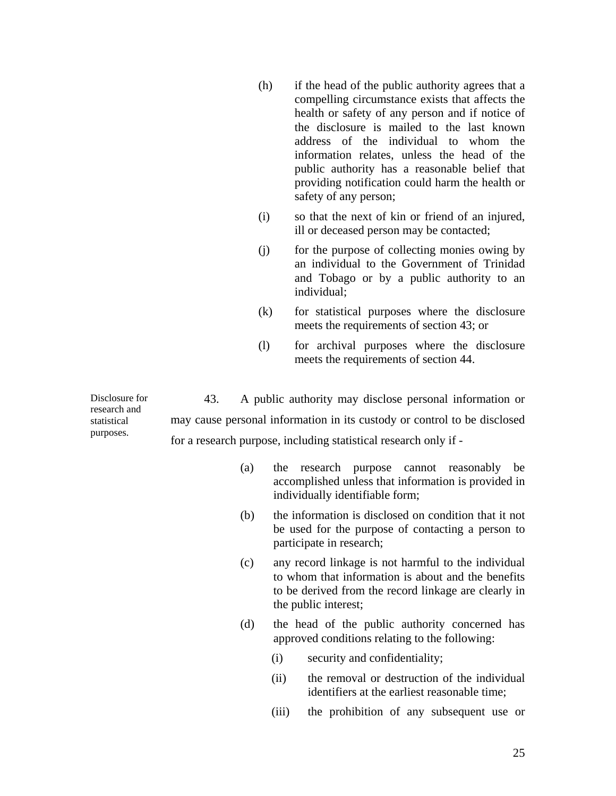- (h) if the head of the public authority agrees that a compelling circumstance exists that affects the health or safety of any person and if notice of the disclosure is mailed to the last known address of the individual to whom the information relates, unless the head of the public authority has a reasonable belief that providing notification could harm the health or safety of any person;
- (i) so that the next of kin or friend of an injured, ill or deceased person may be contacted;
- (j) for the purpose of collecting monies owing by an individual to the Government of Trinidad and Tobago or by a public authority to an individual;
- (k) for statistical purposes where the disclosure meets the requirements of section 43; or
- (l) for archival purposes where the disclosure meets the requirements of section 44.

Disclosure for research and statistical purposes. 43. A public authority may disclose personal information or may cause personal information in its custody or control to be disclosed for a research purpose, including statistical research only if -

| (a) |                                 |  | the research purpose cannot reasonably be           |  |
|-----|---------------------------------|--|-----------------------------------------------------|--|
|     |                                 |  | accomplished unless that information is provided in |  |
|     | individually identifiable form; |  |                                                     |  |

- (b) the information is disclosed on condition that it not be used for the purpose of contacting a person to participate in research;
- (c) any record linkage is not harmful to the individual to whom that information is about and the benefits to be derived from the record linkage are clearly in the public interest;
- (d) the head of the public authority concerned has approved conditions relating to the following:
	- (i) security and confidentiality;
	- (ii) the removal or destruction of the individual identifiers at the earliest reasonable time;
	- (iii) the prohibition of any subsequent use or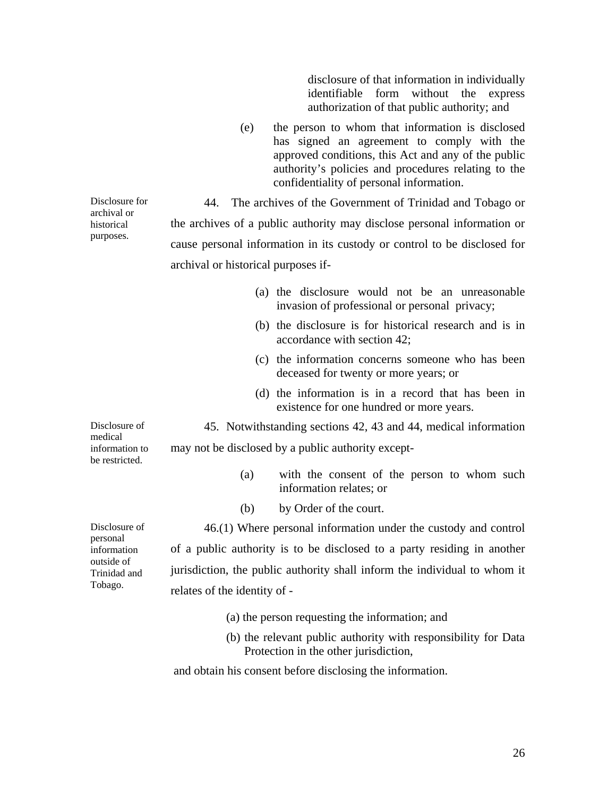disclosure of that information in individually identifiable form without the express authorization of that public authority; and

(e) the person to whom that information is disclosed has signed an agreement to comply with the approved conditions, this Act and any of the public authority's policies and procedures relating to the confidentiality of personal information.

44. The archives of the Government of Trinidad and Tobago or the archives of a public authority may disclose personal information or cause personal information in its custody or control to be disclosed for archival or historical purposes if-

Disclosure for archival or historical purposes.

|                                             | (a) the disclosure would not be an unreasonable<br>invasion of professional or personal privacy;        |  |  |  |  |
|---------------------------------------------|---------------------------------------------------------------------------------------------------------|--|--|--|--|
|                                             | (b) the disclosure is for historical research and is in<br>accordance with section 42;                  |  |  |  |  |
|                                             | (c) the information concerns someone who has been<br>deceased for twenty or more years; or              |  |  |  |  |
|                                             | (d) the information is in a record that has been in<br>existence for one hundred or more years.         |  |  |  |  |
| Disclosure of                               | 45. Notwithstanding sections 42, 43 and 44, medical information                                         |  |  |  |  |
| medical<br>information to<br>be restricted. | may not be disclosed by a public authority except-                                                      |  |  |  |  |
|                                             | with the consent of the person to whom such<br>(a)<br>information relates; or                           |  |  |  |  |
|                                             | by Order of the court.<br>(b)                                                                           |  |  |  |  |
| Disclosure of                               | 46.(1) Where personal information under the custody and control                                         |  |  |  |  |
| personal<br>information                     | of a public authority is to be disclosed to a party residing in another                                 |  |  |  |  |
| outside of<br>Trinidad and                  | jurisdiction, the public authority shall inform the individual to whom it                               |  |  |  |  |
| Tobago.                                     | relates of the identity of -                                                                            |  |  |  |  |
|                                             | (a) the person requesting the information; and                                                          |  |  |  |  |
|                                             | (b) the relevant public authority with responsibility for Data<br>Protection in the other jurisdiction, |  |  |  |  |

and obtain his consent before disclosing the information.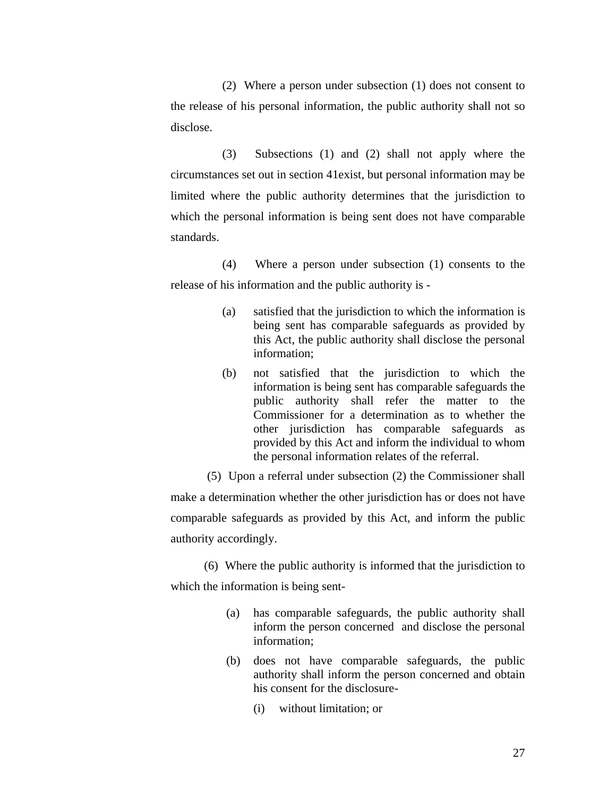(2) Where a person under subsection (1) does not consent to the release of his personal information, the public authority shall not so disclose.

(3) Subsections (1) and (2) shall not apply where the circumstances set out in section 41exist, but personal information may be limited where the public authority determines that the jurisdiction to which the personal information is being sent does not have comparable standards.

(4) Where a person under subsection (1) consents to the release of his information and the public authority is -

- (a) satisfied that the jurisdiction to which the information is being sent has comparable safeguards as provided by this Act, the public authority shall disclose the personal information;
- (b) not satisfied that the jurisdiction to which the information is being sent has comparable safeguards the public authority shall refer the matter to the Commissioner for a determination as to whether the other jurisdiction has comparable safeguards as provided by this Act and inform the individual to whom the personal information relates of the referral.
- (5) Upon a referral under subsection (2) the Commissioner shall

make a determination whether the other jurisdiction has or does not have comparable safeguards as provided by this Act, and inform the public authority accordingly.

(6) Where the public authority is informed that the jurisdiction to which the information is being sent-

- (a) has comparable safeguards, the public authority shall inform the person concerned and disclose the personal information;
- (b) does not have comparable safeguards, the public authority shall inform the person concerned and obtain his consent for the disclosure-
	- (i) without limitation; or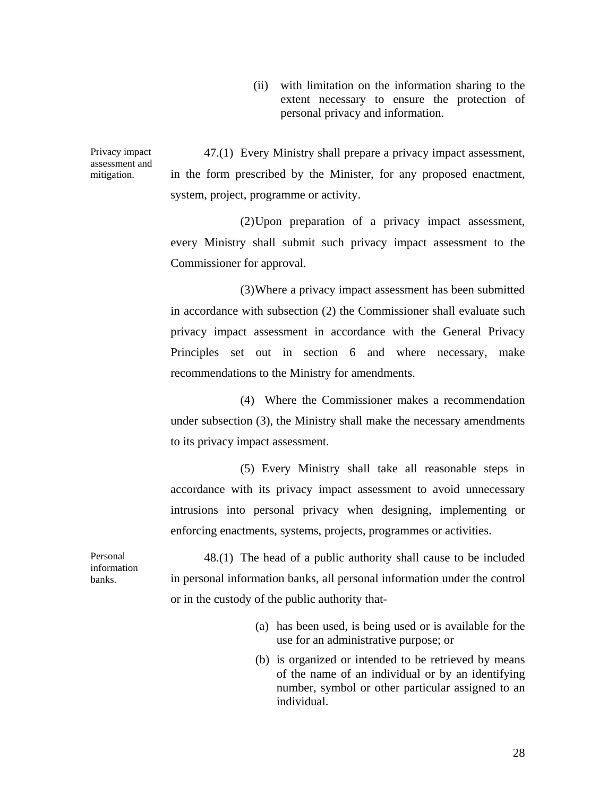(ii) with limitation on the information sharing to the extent necessary to ensure the protection of personal privacy and information.

Privacy impact assessment and mitigation.

47.(1) Every Ministry shall prepare a privacy impact assessment, in the form prescribed by the Minister, for any proposed enactment, system, project, programme or activity.

(2) Upon preparation of a privacy impact assessment, every Ministry shall submit such privacy impact assessment to the Commissioner for approval.

(3) Where a privacy impact assessment has been submitted in accordance with subsection (2) the Commissioner shall evaluate such privacy impact assessment in accordance with the General Privacy Principles set out in section 6 and where necessary, make recommendations to the Ministry for amendments.

(4) Where the Commissioner makes a recommendation under subsection (3), the Ministry shall make the necessary amendments to its privacy impact assessment.

(5) Every Ministry shall take all reasonable steps in accordance with its privacy impact assessment to avoid unnecessary intrusions into personal privacy when designing, implementing or enforcing enactments, systems, projects, programmes or activities.

Personal information banks.

48.(1) The head of a public authority shall cause to be included in personal information banks, all personal information under the control or in the custody of the public authority that-

- (a) has been used, is being used or is available for the use for an administrative purpose; or
- (b) is organized or intended to be retrieved by means of the name of an individual or by an identifying number, symbol or other particular assigned to an individual.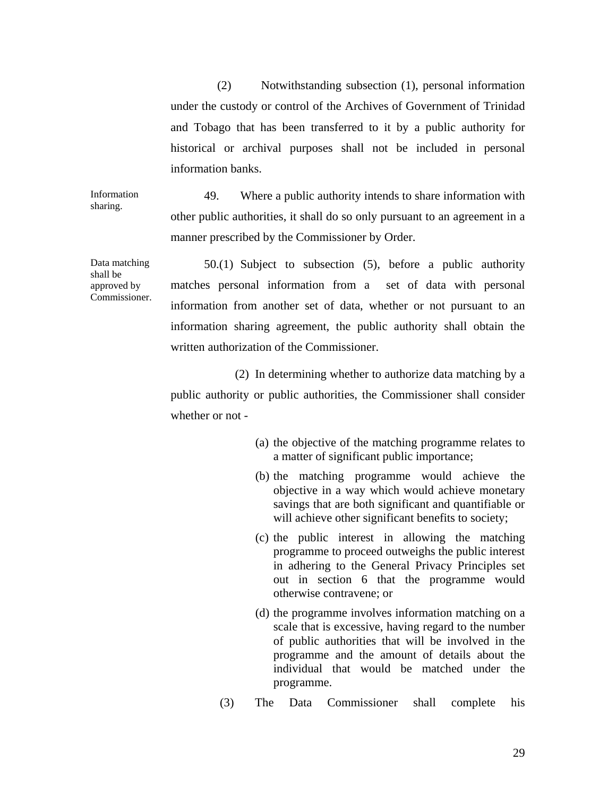(2) Notwithstanding subsection (1), personal information under the custody or control of the Archives of Government of Trinidad and Tobago that has been transferred to it by a public authority for historical or archival purposes shall not be included in personal information banks.

49. Where a public authority intends to share information with other public authorities, it shall do so only pursuant to an agreement in a manner prescribed by the Commissioner by Order.

50.(1) Subject to subsection (5), before a public authority matches personal information from a set of data with personal information from another set of data, whether or not pursuant to an information sharing agreement, the public authority shall obtain the written authorization of the Commissioner.

 (2) In determining whether to authorize data matching by a public authority or public authorities, the Commissioner shall consider whether or not -

- (a) the objective of the matching programme relates to a matter of significant public importance;
- (b) the matching programme would achieve the objective in a way which would achieve monetary savings that are both significant and quantifiable or will achieve other significant benefits to society;
- (c) the public interest in allowing the matching programme to proceed outweighs the public interest in adhering to the General Privacy Principles set out in section 6 that the programme would otherwise contravene; or
- (d) the programme involves information matching on a scale that is excessive, having regard to the number of public authorities that will be involved in the programme and the amount of details about the individual that would be matched under the programme.
- (3) The Data Commissioner shall complete his

Data matching shall be approved by Commissioner.

Information sharing.

29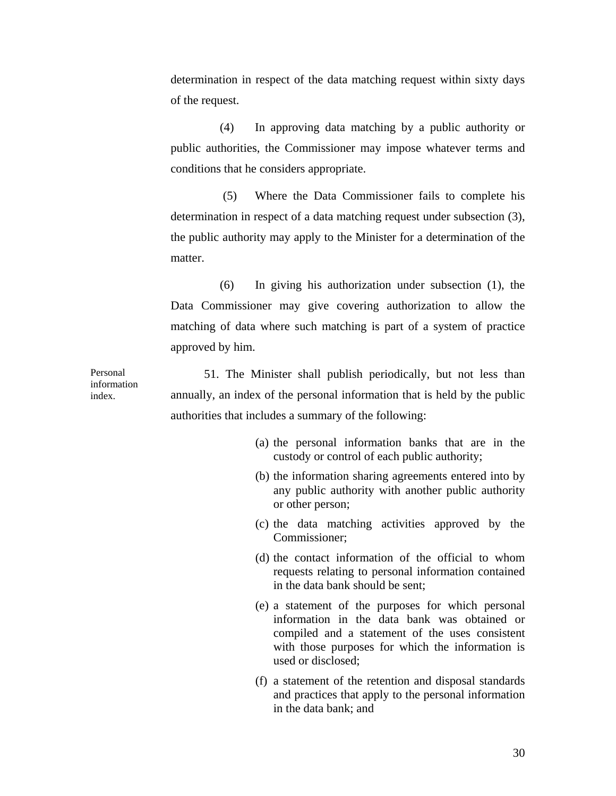determination in respect of the data matching request within sixty days of the request.

(4) In approving data matching by a public authority or public authorities, the Commissioner may impose whatever terms and conditions that he considers appropriate.

 (5) Where the Data Commissioner fails to complete his determination in respect of a data matching request under subsection (3), the public authority may apply to the Minister for a determination of the matter.

(6) In giving his authorization under subsection (1), the Data Commissioner may give covering authorization to allow the matching of data where such matching is part of a system of practice approved by him.

Personal information index.

51. The Minister shall publish periodically, but not less than annually, an index of the personal information that is held by the public authorities that includes a summary of the following:

- (a) the personal information banks that are in the custody or control of each public authority;
- (b) the information sharing agreements entered into by any public authority with another public authority or other person;
- (c) the data matching activities approved by the Commissioner;
- (d) the contact information of the official to whom requests relating to personal information contained in the data bank should be sent;
- (e) a statement of the purposes for which personal information in the data bank was obtained or compiled and a statement of the uses consistent with those purposes for which the information is used or disclosed;
- (f) a statement of the retention and disposal standards and practices that apply to the personal information in the data bank; and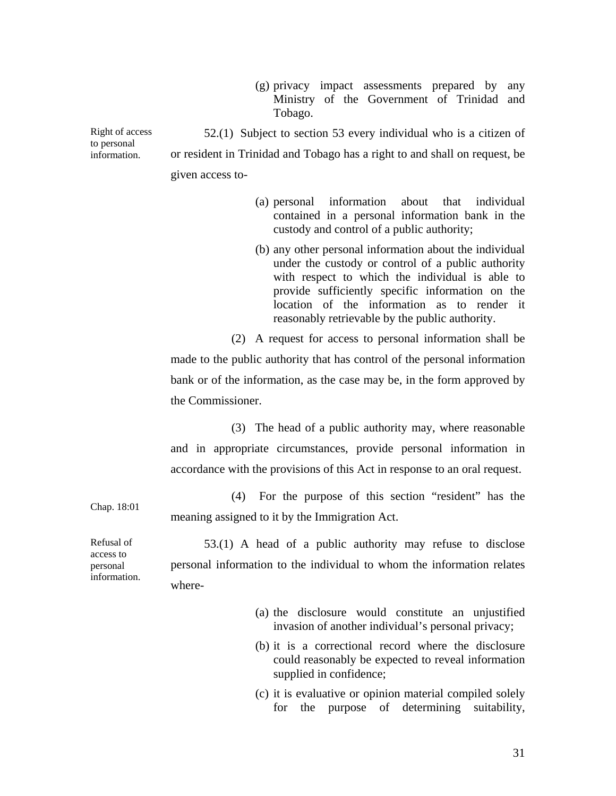(g) privacy impact assessments prepared by any Ministry of the Government of Trinidad and Tobago.

Right of access to personal information. 52.(1) Subject to section 53 every individual who is a citizen of or resident in Trinidad and Tobago has a right to and shall on request, be given access to-

- (a) personal information about that individual contained in a personal information bank in the custody and control of a public authority;
- (b) any other personal information about the individual under the custody or control of a public authority with respect to which the individual is able to provide sufficiently specific information on the location of the information as to render it reasonably retrievable by the public authority.

(2) A request for access to personal information shall be made to the public authority that has control of the personal information bank or of the information, as the case may be, in the form approved by the Commissioner.

(3) The head of a public authority may, where reasonable and in appropriate circumstances, provide personal information in accordance with the provisions of this Act in response to an oral request.

Chap. 18:01 (4) For the purpose of this section "resident" has the meaning assigned to it by the Immigration Act.

Refusal of access to personal information.

53.(1) A head of a public authority may refuse to disclose personal information to the individual to whom the information relates where-

- (a) the disclosure would constitute an unjustified invasion of another individual's personal privacy;
- (b) it is a correctional record where the disclosure could reasonably be expected to reveal information supplied in confidence;
- (c) it is evaluative or opinion material compiled solely for the purpose of determining suitability,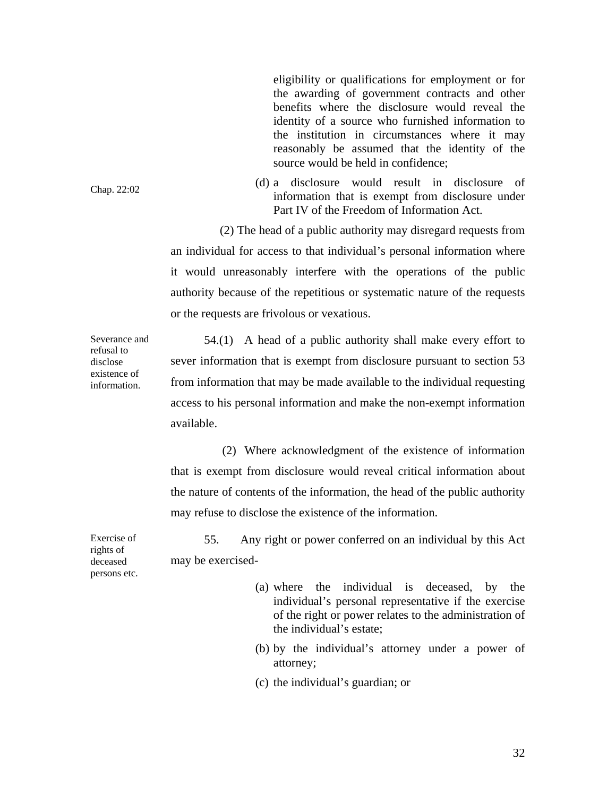eligibility or qualifications for employment or for the awarding of government contracts and other benefits where the disclosure would reveal the identity of a source who furnished information to the institution in circumstances where it may reasonably be assumed that the identity of the source would be held in confidence;

(d) a disclosure would result in disclosure of information that is exempt from disclosure under Part IV of the Freedom of Information Act.

(2) The head of a public authority may disregard requests from an individual for access to that individual's personal information where it would unreasonably interfere with the operations of the public authority because of the repetitious or systematic nature of the requests or the requests are frivolous or vexatious.

54.(1) A head of a public authority shall make every effort to sever information that is exempt from disclosure pursuant to section 53 from information that may be made available to the individual requesting access to his personal information and make the non-exempt information available.

(2) Where acknowledgment of the existence of information that is exempt from disclosure would reveal critical information about the nature of contents of the information, the head of the public authority may refuse to disclose the existence of the information.

55. Any right or power conferred on an individual by this Act may be exercised-

- (a) where the individual is deceased, by the individual's personal representative if the exercise of the right or power relates to the administration of the individual's estate;
- (b) by the individual's attorney under a power of attorney;
- (c) the individual's guardian; or

Severance and refusal to disclose existence of information.

Chap. 22:02

Exercise of rights of deceased persons etc.

32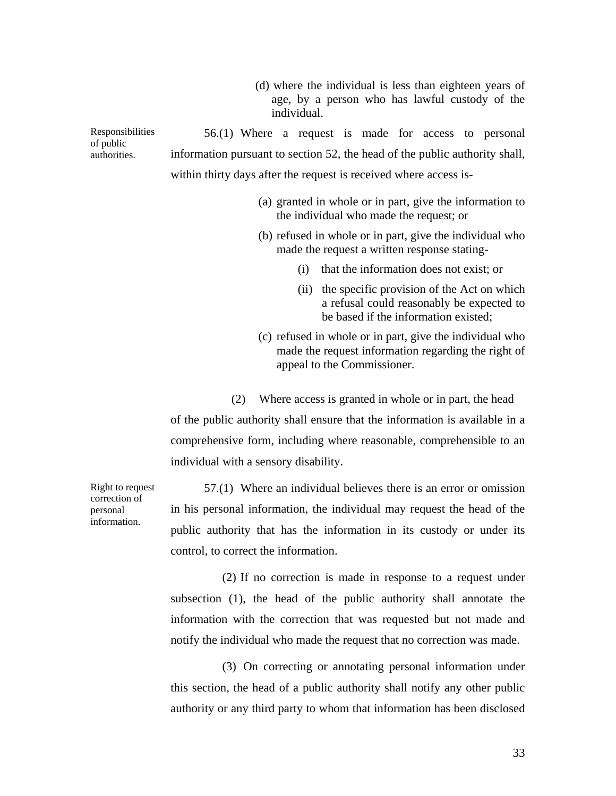(d) where the individual is less than eighteen years of age, by a person who has lawful custody of the individual.

Responsibilities 56.(1) Where a request is made for access to personal information pursuant to section 52, the head of the public authority shall, within thirty days after the request is received where access is-

- (a) granted in whole or in part, give the information to the individual who made the request; or
- (b) refused in whole or in part, give the individual who made the request a written response stating-
	- (i) that the information does not exist; or
	- (ii) the specific provision of the Act on which a refusal could reasonably be expected to be based if the information existed;
- (c) refused in whole or in part, give the individual who made the request information regarding the right of appeal to the Commissioner.

(2) Where access is granted in whole or in part, the head of the public authority shall ensure that the information is available in a comprehensive form, including where reasonable, comprehensible to an individual with a sensory disability.

57.(1) Where an individual believes there is an error or omission in his personal information, the individual may request the head of the public authority that has the information in its custody or under its control, to correct the information.

(2) If no correction is made in response to a request under subsection (1), the head of the public authority shall annotate the information with the correction that was requested but not made and notify the individual who made the request that no correction was made.

(3) On correcting or annotating personal information under this section, the head of a public authority shall notify any other public authority or any third party to whom that information has been disclosed

Right to request correction of personal information.

of public authorities.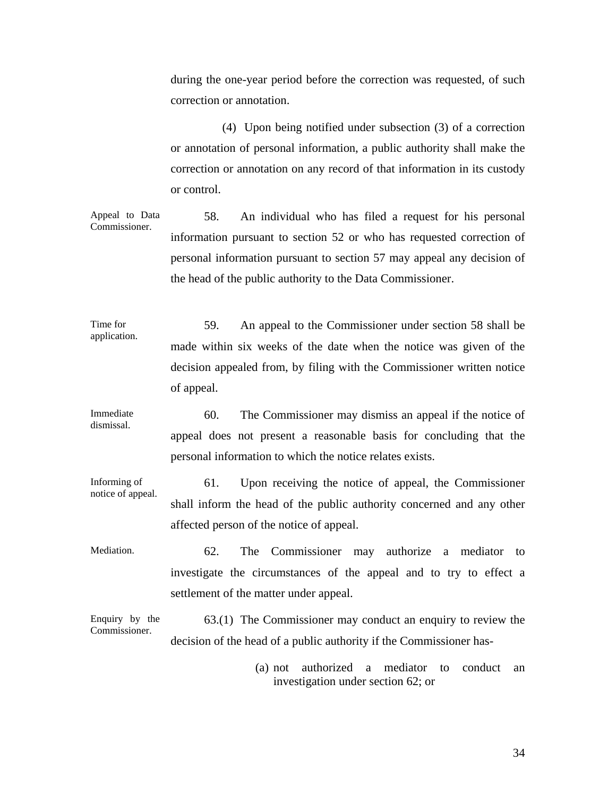during the one-year period before the correction was requested, of such correction or annotation.

(4) Upon being notified under subsection (3) of a correction or annotation of personal information, a public authority shall make the correction or annotation on any record of that information in its custody or control.

Appeal to Data Commissioner. 58. An individual who has filed a request for his personal information pursuant to section 52 or who has requested correction of personal information pursuant to section 57 may appeal any decision of the head of the public authority to the Data Commissioner.

Time for application. 59. An appeal to the Commissioner under section 58 shall be made within six weeks of the date when the notice was given of the decision appealed from, by filing with the Commissioner written notice of appeal.

Immediate dismissal. 60. The Commissioner may dismiss an appeal if the notice of appeal does not present a reasonable basis for concluding that the personal information to which the notice relates exists.

Informing of notice of appeal. 61. Upon receiving the notice of appeal, the Commissioner shall inform the head of the public authority concerned and any other affected person of the notice of appeal.

Mediation. 62. The Commissioner may authorize a mediator to investigate the circumstances of the appeal and to try to effect a settlement of the matter under appeal.

Enquiry by the Commissioner. 63.(1) The Commissioner may conduct an enquiry to review the decision of the head of a public authority if the Commissioner has-

> (a) not authorized a mediator to conduct an investigation under section 62; or

> > 34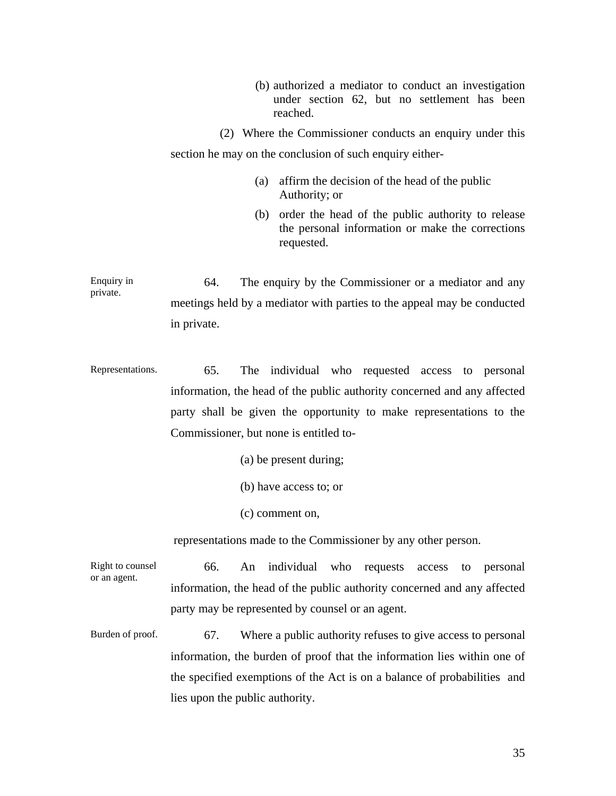(b) authorized a mediator to conduct an investigation under section 62, but no settlement has been reached.

(2) Where the Commissioner conducts an enquiry under this section he may on the conclusion of such enquiry either-

- (a) affirm the decision of the head of the public Authority; or
- (b) order the head of the public authority to release the personal information or make the corrections requested.

Enquiry in private. 64. The enquiry by the Commissioner or a mediator and any meetings held by a mediator with parties to the appeal may be conducted in private.

Representations. 65. The individual who requested access to personal information, the head of the public authority concerned and any affected party shall be given the opportunity to make representations to the Commissioner, but none is entitled to-

- (a) be present during;
- (b) have access to; or
- (c) comment on,

representations made to the Commissioner by any other person.

Right to counsel or an agent. 66. An individual who requests access to personal information, the head of the public authority concerned and any affected party may be represented by counsel or an agent.

Burden of proof. 67. Where a public authority refuses to give access to personal information, the burden of proof that the information lies within one of the specified exemptions of the Act is on a balance of probabilities and lies upon the public authority.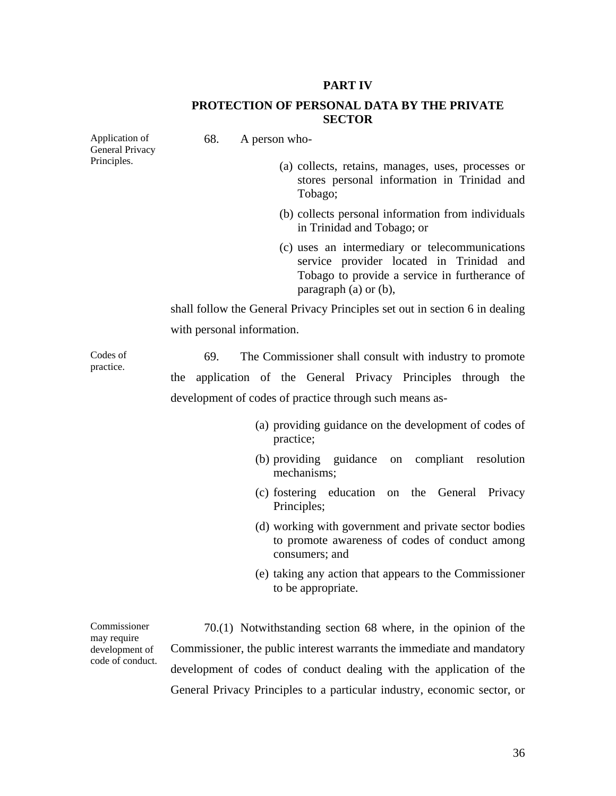### **PART IV**

### **PROTECTION OF PERSONAL DATA BY THE PRIVATE SECTOR**

| Application of<br>General Privacy | 68.<br>A person who-                                                                                                                                                      |
|-----------------------------------|---------------------------------------------------------------------------------------------------------------------------------------------------------------------------|
| Principles.                       | (a) collects, retains, manages, uses, processes or<br>stores personal information in Trinidad and<br>Tobago;                                                              |
|                                   | (b) collects personal information from individuals<br>in Trinidad and Tobago; or                                                                                          |
|                                   | (c) uses an intermediary or telecommunications<br>service provider located in Trinidad and<br>Tobago to provide a service in furtherance of<br>paragraph $(a)$ or $(b)$ , |
|                                   | shall follow the General Privacy Principles set out in section 6 in dealing                                                                                               |
|                                   | with personal information.                                                                                                                                                |
| Codes of<br>practice.             | 69.<br>The Commissioner shall consult with industry to promote                                                                                                            |
|                                   | application of the General Privacy Principles through the<br>the                                                                                                          |
|                                   | development of codes of practice through such means as-                                                                                                                   |
|                                   | (a) providing guidance on the development of codes of<br>practice;                                                                                                        |
|                                   | (b) providing guidance on compliant resolution<br>mechanisms;                                                                                                             |
|                                   | (c) fostering education<br>on the General<br>Privacy<br>Principles;                                                                                                       |
|                                   | (d) working with government and private sector bodies<br>to promote awareness of codes of conduct among<br>consumers; and                                                 |
|                                   | (e) taking any action that appears to the Commissioner<br>to be appropriate.                                                                                              |
|                                   |                                                                                                                                                                           |

70.(1) Notwithstanding section 68 where, in the opinion of the Commissioner, the public interest warrants the immediate and mandatory development of codes of conduct dealing with the application of the General Privacy Principles to a particular industry, economic sector, or

Commissioner may require development of code of conduct.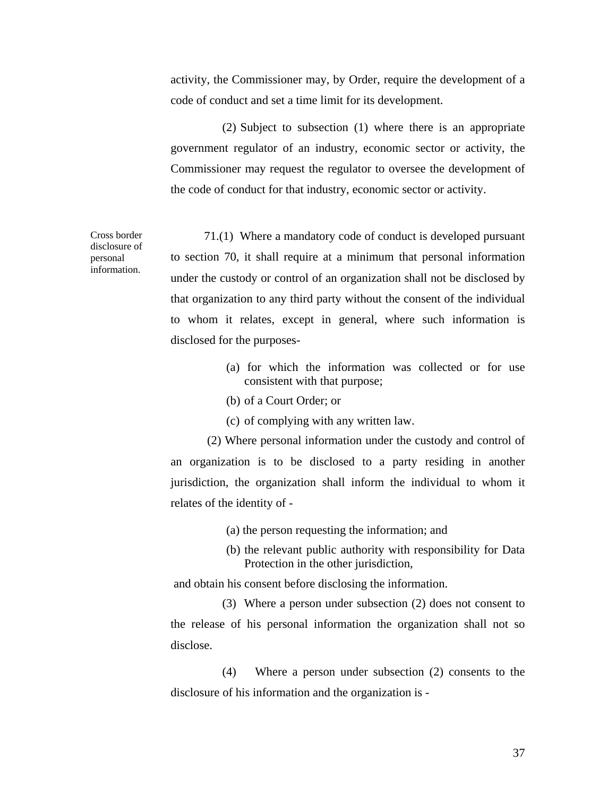activity, the Commissioner may, by Order, require the development of a code of conduct and set a time limit for its development.

(2) Subject to subsection (1) where there is an appropriate government regulator of an industry, economic sector or activity, the Commissioner may request the regulator to oversee the development of the code of conduct for that industry, economic sector or activity.

71.(1) Where a mandatory code of conduct is developed pursuant to section 70, it shall require at a minimum that personal information under the custody or control of an organization shall not be disclosed by that organization to any third party without the consent of the individual to whom it relates, except in general, where such information is disclosed for the purposes-

- (a) for which the information was collected or for use consistent with that purpose;
- (b) of a Court Order; or
- (c) of complying with any written law.

 (2) Where personal information under the custody and control of an organization is to be disclosed to a party residing in another jurisdiction, the organization shall inform the individual to whom it relates of the identity of -

- (a) the person requesting the information; and
- (b) the relevant public authority with responsibility for Data Protection in the other jurisdiction,

and obtain his consent before disclosing the information.

(3) Where a person under subsection (2) does not consent to the release of his personal information the organization shall not so disclose.

(4) Where a person under subsection (2) consents to the disclosure of his information and the organization is -

disclosure of personal information.

Cross border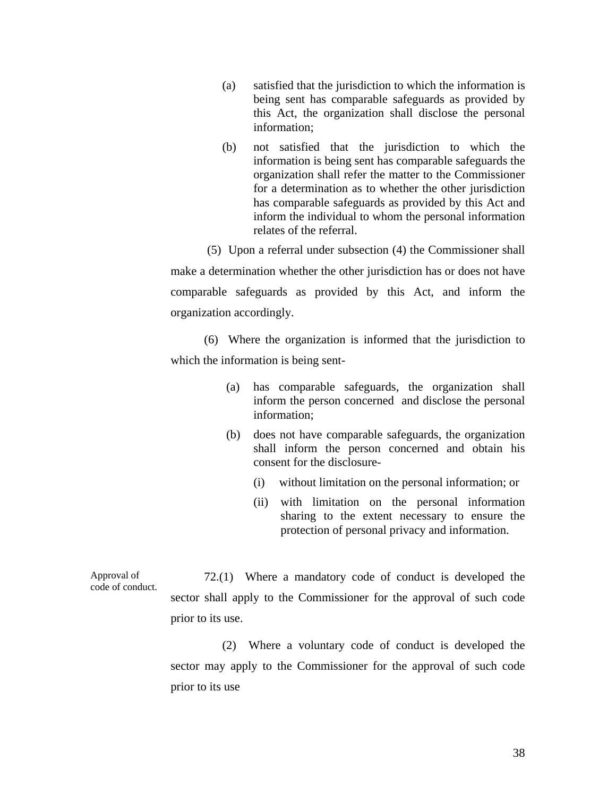- (a) satisfied that the jurisdiction to which the information is being sent has comparable safeguards as provided by this Act, the organization shall disclose the personal information;
- (b) not satisfied that the jurisdiction to which the information is being sent has comparable safeguards the organization shall refer the matter to the Commissioner for a determination as to whether the other jurisdiction has comparable safeguards as provided by this Act and inform the individual to whom the personal information relates of the referral.

 (5) Upon a referral under subsection (4) the Commissioner shall make a determination whether the other jurisdiction has or does not have comparable safeguards as provided by this Act, and inform the organization accordingly.

(6) Where the organization is informed that the jurisdiction to which the information is being sent-

- (a) has comparable safeguards, the organization shall inform the person concerned and disclose the personal information;
- (b) does not have comparable safeguards, the organization shall inform the person concerned and obtain his consent for the disclosure-
	- (i) without limitation on the personal information; or
	- (ii) with limitation on the personal information sharing to the extent necessary to ensure the protection of personal privacy and information.

Approval of code of conduct. 72.(1) Where a mandatory code of conduct is developed the sector shall apply to the Commissioner for the approval of such code prior to its use.

> (2) Where a voluntary code of conduct is developed the sector may apply to the Commissioner for the approval of such code prior to its use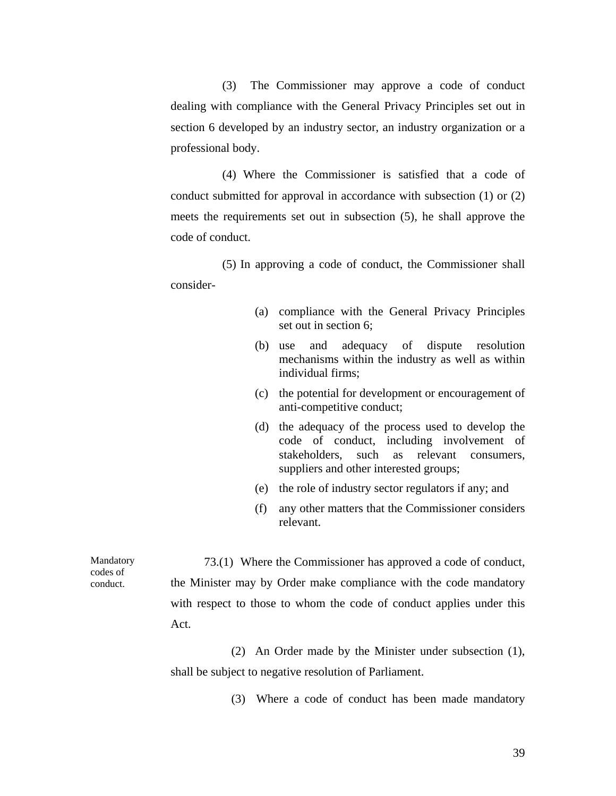(3) The Commissioner may approve a code of conduct dealing with compliance with the General Privacy Principles set out in section 6 developed by an industry sector, an industry organization or a professional body.

(4) Where the Commissioner is satisfied that a code of conduct submitted for approval in accordance with subsection (1) or (2) meets the requirements set out in subsection (5), he shall approve the code of conduct.

(5) In approving a code of conduct, the Commissioner shall consider-

- (a) compliance with the General Privacy Principles set out in section 6;
- (b) use and adequacy of dispute resolution mechanisms within the industry as well as within individual firms;
- (c) the potential for development or encouragement of anti-competitive conduct;
- (d) the adequacy of the process used to develop the code of conduct, including involvement of stakeholders, such as relevant consumers, suppliers and other interested groups;
- (e) the role of industry sector regulators if any; and
- (f) any other matters that the Commissioner considers relevant.

73.(1) Where the Commissioner has approved a code of conduct, the Minister may by Order make compliance with the code mandatory with respect to those to whom the code of conduct applies under this Act.

> (2) An Order made by the Minister under subsection (1), shall be subject to negative resolution of Parliament.

> > (3) Where a code of conduct has been made mandatory

Mandatory codes of conduct.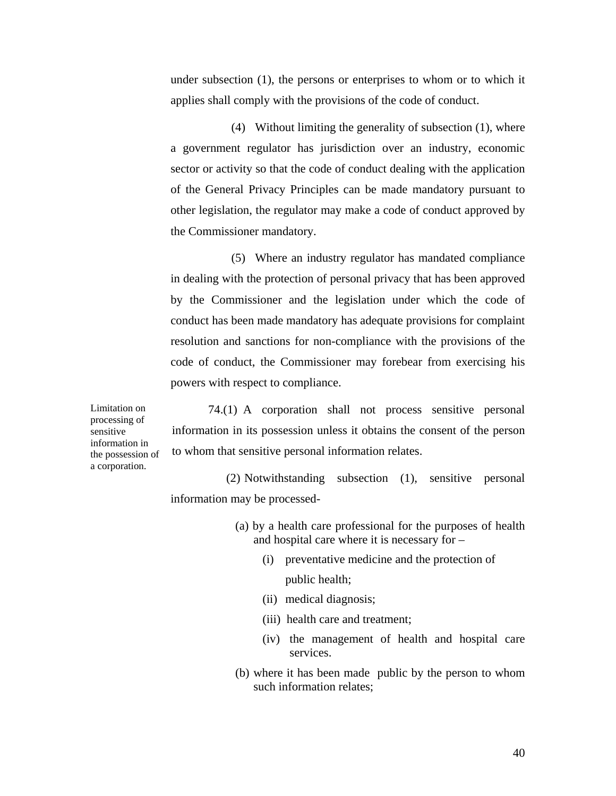under subsection (1), the persons or enterprises to whom or to which it applies shall comply with the provisions of the code of conduct.

(4) Without limiting the generality of subsection (1), where a government regulator has jurisdiction over an industry, economic sector or activity so that the code of conduct dealing with the application of the General Privacy Principles can be made mandatory pursuant to other legislation, the regulator may make a code of conduct approved by the Commissioner mandatory.

(5) Where an industry regulator has mandated compliance in dealing with the protection of personal privacy that has been approved by the Commissioner and the legislation under which the code of conduct has been made mandatory has adequate provisions for complaint resolution and sanctions for non-compliance with the provisions of the code of conduct, the Commissioner may forebear from exercising his powers with respect to compliance.

74.(1) A corporation shall not process sensitive personal information in its possession unless it obtains the consent of the person to whom that sensitive personal information relates.

(2) Notwithstanding subsection (1), sensitive personal information may be processed-

- (a) by a health care professional for the purposes of health and hospital care where it is necessary for –
	- (i) preventative medicine and the protection of public health;
	- (ii) medical diagnosis;
	- (iii) health care and treatment;
	- (iv) the management of health and hospital care services.
- (b) where it has been made public by the person to whom such information relates;

Limitation on processing of sensitive information in the possession of a corporation.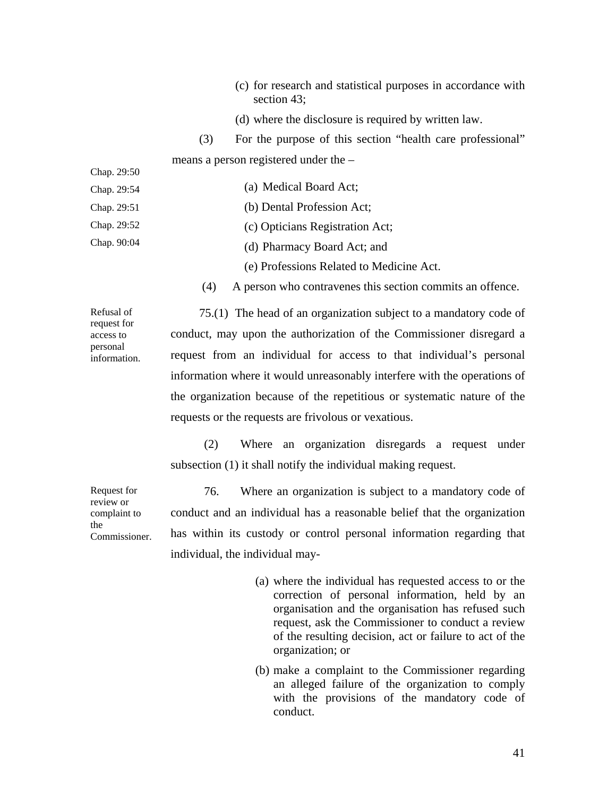|             |     | (c) for research and statistical purposes in accordance with<br>section $43$ ; |
|-------------|-----|--------------------------------------------------------------------------------|
|             |     | (d) where the disclosure is required by written law.                           |
|             | (3) | For the purpose of this section "health care professional"                     |
|             |     | means a person registered under the $-$                                        |
| Chap. 29:50 |     |                                                                                |
| Chap. 29:54 |     | (a) Medical Board Act;                                                         |
| Chap. 29:51 |     | (b) Dental Profession Act;                                                     |
| Chap. 29:52 |     | (c) Opticians Registration Act;                                                |
| Chap. 90:04 |     | (d) Pharmacy Board Act; and                                                    |
|             |     | (e) Professions Related to Medicine Act.                                       |
|             |     |                                                                                |

(4) A person who contravenes this section commits an offence.

Refusal of request for access to personal information.

75.(1) The head of an organization subject to a mandatory code of conduct, may upon the authorization of the Commissioner disregard a request from an individual for access to that individual's personal information where it would unreasonably interfere with the operations of the organization because of the repetitious or systematic nature of the requests or the requests are frivolous or vexatious.

(2) Where an organization disregards a request under subsection (1) it shall notify the individual making request.

Commissioner. 76. Where an organization is subject to a mandatory code of conduct and an individual has a reasonable belief that the organization has within its custody or control personal information regarding that individual, the individual may-

- (a) where the individual has requested access to or the correction of personal information, held by an organisation and the organisation has refused such request, ask the Commissioner to conduct a review of the resulting decision, act or failure to act of the organization; or
- (b) make a complaint to the Commissioner regarding an alleged failure of the organization to comply with the provisions of the mandatory code of conduct.

Request for review or complaint to the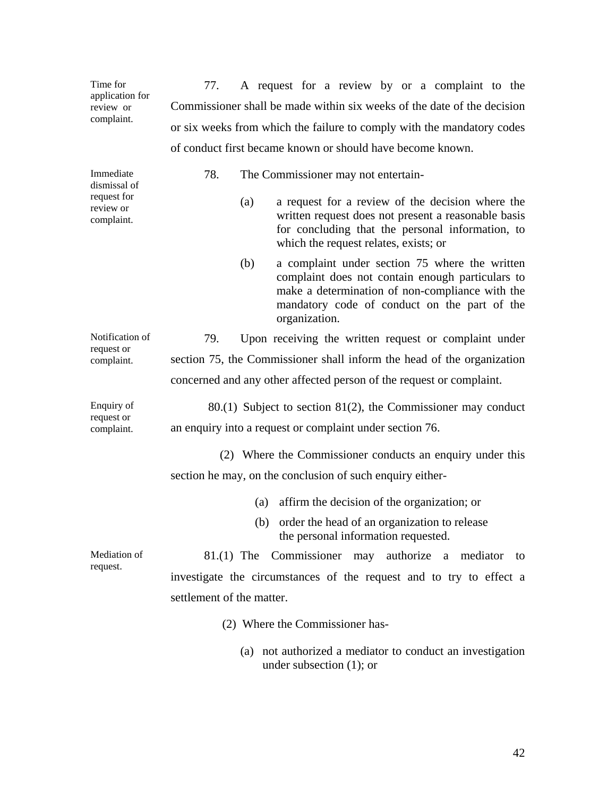| Time for<br>application for<br>review or<br>complaint. | 77.<br>A request for a review by or a complaint to the                                                                                                                                                                        |  |  |  |  |  |
|--------------------------------------------------------|-------------------------------------------------------------------------------------------------------------------------------------------------------------------------------------------------------------------------------|--|--|--|--|--|
|                                                        | Commissioner shall be made within six weeks of the date of the decision                                                                                                                                                       |  |  |  |  |  |
|                                                        | or six weeks from which the failure to comply with the mandatory codes                                                                                                                                                        |  |  |  |  |  |
|                                                        | of conduct first became known or should have become known.                                                                                                                                                                    |  |  |  |  |  |
| Immediate<br>dismissal of                              | 78.<br>The Commissioner may not entertain-                                                                                                                                                                                    |  |  |  |  |  |
| request for<br>review or<br>complaint.                 | a request for a review of the decision where the<br>(a)<br>written request does not present a reasonable basis<br>for concluding that the personal information, to<br>which the request relates, exists; or                   |  |  |  |  |  |
|                                                        | a complaint under section 75 where the written<br>(b)<br>complaint does not contain enough particulars to<br>make a determination of non-compliance with the<br>mandatory code of conduct on the part of the<br>organization. |  |  |  |  |  |
| Notification of                                        | 79.<br>Upon receiving the written request or complaint under                                                                                                                                                                  |  |  |  |  |  |
| request or<br>complaint.                               | section 75, the Commissioner shall inform the head of the organization                                                                                                                                                        |  |  |  |  |  |
|                                                        | concerned and any other affected person of the request or complaint.                                                                                                                                                          |  |  |  |  |  |
| Enquiry of                                             | $80(1)$ Subject to section $81(2)$ , the Commissioner may conduct                                                                                                                                                             |  |  |  |  |  |
| request or<br>complaint.                               | an enquiry into a request or complaint under section 76.                                                                                                                                                                      |  |  |  |  |  |
|                                                        | (2) Where the Commissioner conducts an enquiry under this                                                                                                                                                                     |  |  |  |  |  |
|                                                        | section he may, on the conclusion of such enquiry either-                                                                                                                                                                     |  |  |  |  |  |
|                                                        | affirm the decision of the organization; or<br>(a)                                                                                                                                                                            |  |  |  |  |  |
|                                                        | (b) order the head of an organization to release<br>the personal information requested.                                                                                                                                       |  |  |  |  |  |
| Mediation of                                           | 81.(1) The Commissioner may authorize a mediator<br>to                                                                                                                                                                        |  |  |  |  |  |
| request.                                               | investigate the circumstances of the request and to try to effect a                                                                                                                                                           |  |  |  |  |  |
|                                                        | settlement of the matter.                                                                                                                                                                                                     |  |  |  |  |  |
|                                                        | (2) Where the Commissioner has-                                                                                                                                                                                               |  |  |  |  |  |
|                                                        | (a) not authorized a mediator to conduct an investigation<br>under subsection $(1)$ ; or                                                                                                                                      |  |  |  |  |  |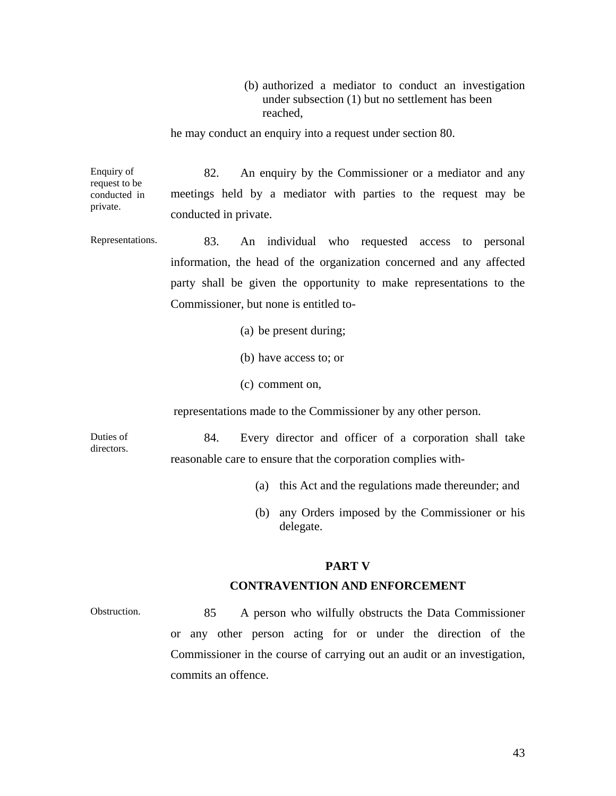(b) authorized a mediator to conduct an investigation under subsection (1) but no settlement has been reached,

he may conduct an enquiry into a request under section 80.

Enquiry of request to be conducted in private. 82. An enquiry by the Commissioner or a mediator and any meetings held by a mediator with parties to the request may be conducted in private.

Representations. 83. An individual who requested access to personal information, the head of the organization concerned and any affected party shall be given the opportunity to make representations to the Commissioner, but none is entitled to-

- (a) be present during;
- (b) have access to; or
- (c) comment on,

representations made to the Commissioner by any other person.

Duties of directors.

84. Every director and officer of a corporation shall take reasonable care to ensure that the corporation complies with-

- (a) this Act and the regulations made thereunder; and
- (b) any Orders imposed by the Commissioner or his delegate.

#### **PART V**

#### **CONTRAVENTION AND ENFORCEMENT**

Obstruction. 85 A person who wilfully obstructs the Data Commissioner or any other person acting for or under the direction of the Commissioner in the course of carrying out an audit or an investigation, commits an offence.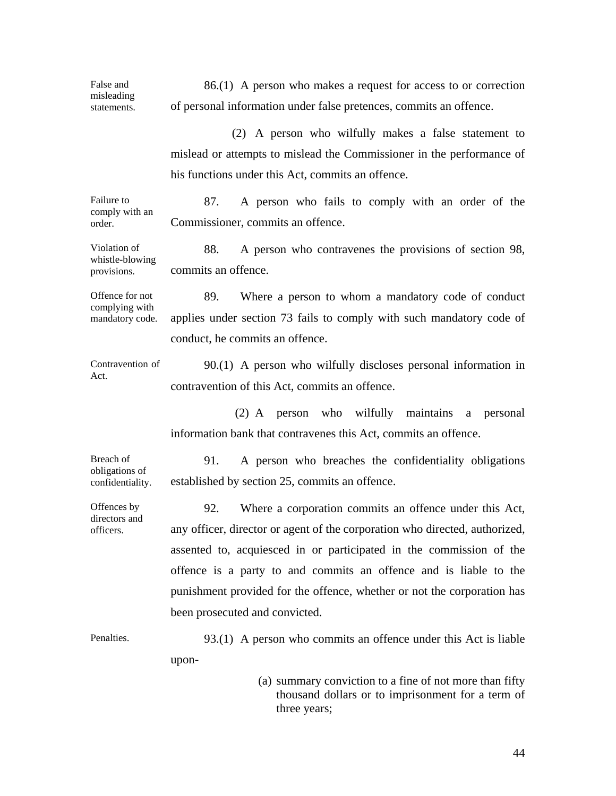| False and<br>misleading<br>statements.               | 86.(1) A person who makes a request for access to or correction<br>of personal information under false pretences, commits an offence.                                                                                                                                                                                                                                                                 |  |  |  |
|------------------------------------------------------|-------------------------------------------------------------------------------------------------------------------------------------------------------------------------------------------------------------------------------------------------------------------------------------------------------------------------------------------------------------------------------------------------------|--|--|--|
|                                                      | (2) A person who wilfully makes a false statement to<br>mislead or attempts to mislead the Commissioner in the performance of<br>his functions under this Act, commits an offence.                                                                                                                                                                                                                    |  |  |  |
| Failure to<br>comply with an<br>order.               | 87.<br>A person who fails to comply with an order of the<br>Commissioner, commits an offence.                                                                                                                                                                                                                                                                                                         |  |  |  |
| Violation of<br>whistle-blowing<br>provisions.       | 88.<br>A person who contravenes the provisions of section 98,<br>commits an offence.                                                                                                                                                                                                                                                                                                                  |  |  |  |
| Offence for not<br>complying with<br>mandatory code. | 89.<br>Where a person to whom a mandatory code of conduct<br>applies under section 73 fails to comply with such mandatory code of<br>conduct, he commits an offence.                                                                                                                                                                                                                                  |  |  |  |
| Contravention of<br>Act.                             | $90(1)$ A person who wilfully discloses personal information in<br>contravention of this Act, commits an offence.                                                                                                                                                                                                                                                                                     |  |  |  |
|                                                      | (2) A person who wilfully maintains a personal<br>information bank that contravenes this Act, commits an offence.                                                                                                                                                                                                                                                                                     |  |  |  |
| Breach of<br>obligations of<br>confidentiality.      | 91.<br>A person who breaches the confidentiality obligations<br>established by section 25, commits an offence.                                                                                                                                                                                                                                                                                        |  |  |  |
| Offences by<br>directors and<br>officers.            | Where a corporation commits an offence under this Act,<br>92.<br>any officer, director or agent of the corporation who directed, authorized,<br>assented to, acquiesced in or participated in the commission of the<br>offence is a party to and commits an offence and is liable to the<br>punishment provided for the offence, whether or not the corporation has<br>been prosecuted and convicted. |  |  |  |
| Penalties.                                           | $93(1)$ A person who commits an offence under this Act is liable<br>upon-                                                                                                                                                                                                                                                                                                                             |  |  |  |
|                                                      | (a) summary conviction to a fine of not more than fifty<br>thousand dollars or to imprisonment for a term of<br>three years;                                                                                                                                                                                                                                                                          |  |  |  |

44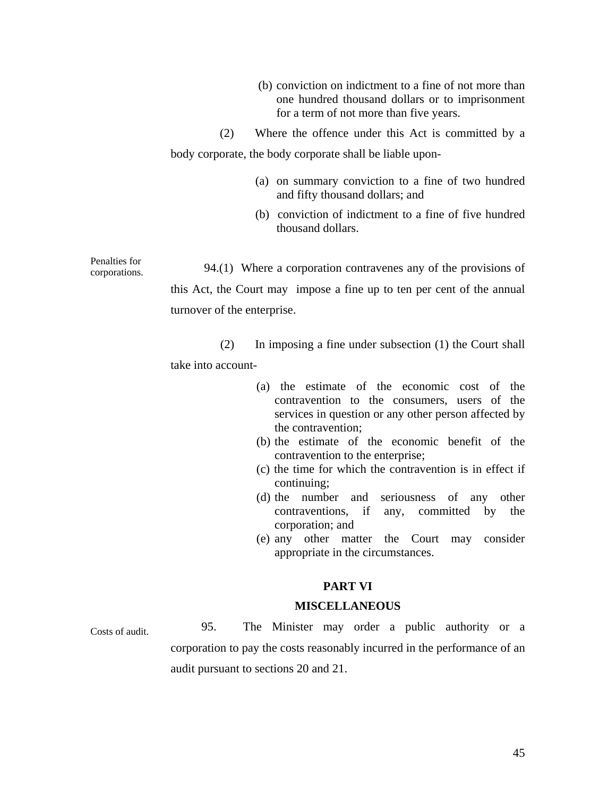- (b) conviction on indictment to a fine of not more than one hundred thousand dollars or to imprisonment for a term of not more than five years.
- (2) Where the offence under this Act is committed by a

body corporate, the body corporate shall be liable upon-

- (a) on summary conviction to a fine of two hundred and fifty thousand dollars; and
- (b) conviction of indictment to a fine of five hundred thousand dollars.

Penalties for corporations. 94.(1) Where a corporation contravenes any of the provisions of this Act, the Court may impose a fine up to ten per cent of the annual turnover of the enterprise.

> (2) In imposing a fine under subsection (1) the Court shall take into account-

- (a) the estimate of the economic cost of the contravention to the consumers, users of the services in question or any other person affected by the contravention;
- (b) the estimate of the economic benefit of the contravention to the enterprise;
- (c) the time for which the contravention is in effect if continuing;
- (d) the number and seriousness of any other contraventions, if any, committed by the corporation; and
- (e) any other matter the Court may consider appropriate in the circumstances.

# **PART VI**

#### **MISCELLANEOUS**

Costs of audit. 95. The Minister may order a public authority or a corporation to pay the costs reasonably incurred in the performance of an audit pursuant to sections 20 and 21.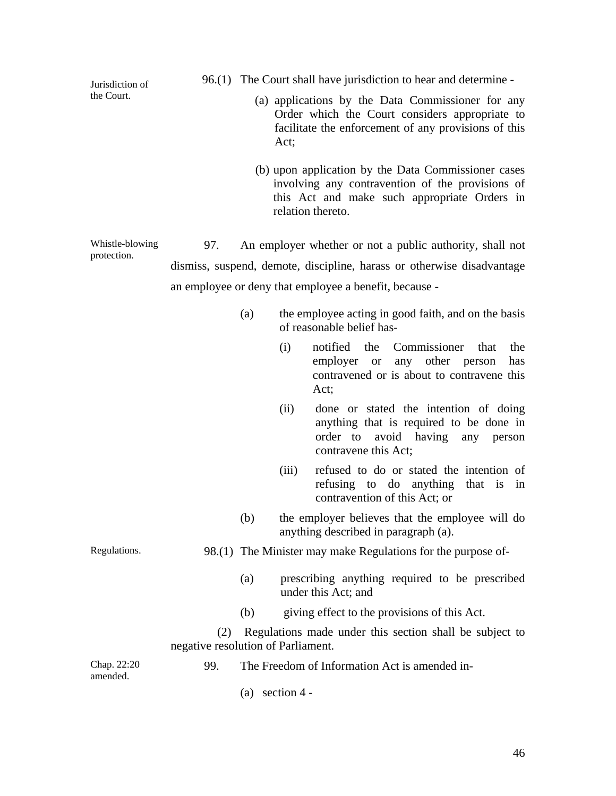| Jurisdiction of                |                                                                                                                                                                     |     |                   | 96.(1) The Court shall have jurisdiction to hear and determine -                                                                                                             |  |  |
|--------------------------------|---------------------------------------------------------------------------------------------------------------------------------------------------------------------|-----|-------------------|------------------------------------------------------------------------------------------------------------------------------------------------------------------------------|--|--|
| the Court.                     | (a) applications by the Data Commissioner for any<br>Order which the Court considers appropriate to<br>facilitate the enforcement of any provisions of this<br>Act; |     |                   |                                                                                                                                                                              |  |  |
|                                |                                                                                                                                                                     |     |                   | (b) upon application by the Data Commissioner cases<br>involving any contravention of the provisions of<br>this Act and make such appropriate Orders in<br>relation thereto. |  |  |
| Whistle-blowing<br>protection. | 97.                                                                                                                                                                 |     |                   | An employer whether or not a public authority, shall not                                                                                                                     |  |  |
|                                |                                                                                                                                                                     |     |                   | dismiss, suspend, demote, discipline, harass or otherwise disadvantage                                                                                                       |  |  |
|                                |                                                                                                                                                                     |     |                   | an employee or deny that employee a benefit, because -                                                                                                                       |  |  |
|                                |                                                                                                                                                                     | (a) |                   | the employee acting in good faith, and on the basis<br>of reasonable belief has-                                                                                             |  |  |
|                                |                                                                                                                                                                     |     | (i)               | Commissioner<br>notified<br>the<br>that<br>the<br>employer or any other person<br>has<br>contravened or is about to contravene this<br>Act;                                  |  |  |
|                                |                                                                                                                                                                     |     | (ii)              | done or stated the intention of doing<br>anything that is required to be done in<br>avoid<br>having<br>order to<br>any<br>person<br>contravene this Act;                     |  |  |
|                                |                                                                                                                                                                     |     | (iii)             | refused to do or stated the intention of<br>refusing to do anything<br>that is in<br>contravention of this Act; or                                                           |  |  |
|                                |                                                                                                                                                                     | (b) |                   | the employer believes that the employee will do<br>anything described in paragraph (a).                                                                                      |  |  |
| Regulations.                   |                                                                                                                                                                     |     |                   | 98.(1) The Minister may make Regulations for the purpose of-                                                                                                                 |  |  |
|                                |                                                                                                                                                                     | (a) |                   | prescribing anything required to be prescribed<br>under this Act; and                                                                                                        |  |  |
|                                |                                                                                                                                                                     | (b) |                   | giving effect to the provisions of this Act.                                                                                                                                 |  |  |
|                                | (2)<br>negative resolution of Parliament.                                                                                                                           |     |                   | Regulations made under this section shall be subject to                                                                                                                      |  |  |
| Chap. 22:20<br>amended.        | 99.                                                                                                                                                                 |     |                   | The Freedom of Information Act is amended in-                                                                                                                                |  |  |
|                                |                                                                                                                                                                     |     | (a) section $4 -$ |                                                                                                                                                                              |  |  |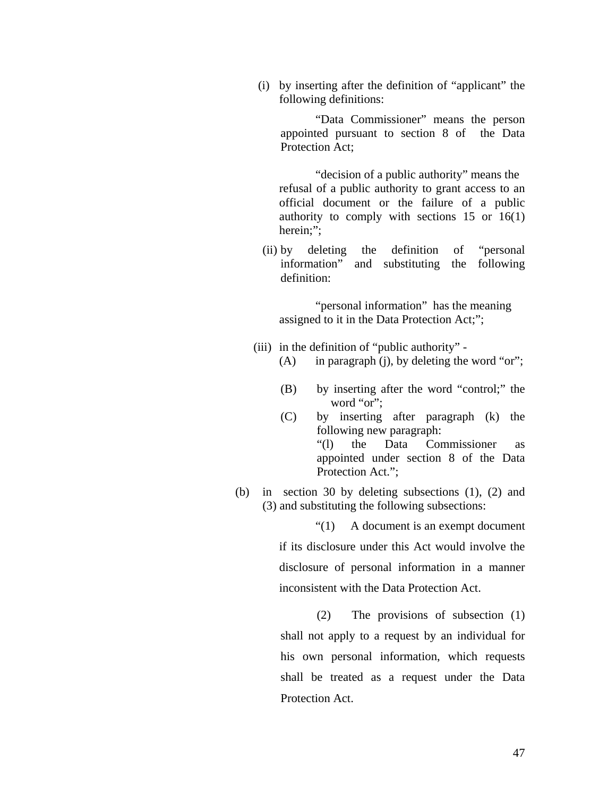(i) by inserting after the definition of "applicant" the following definitions:

 "Data Commissioner" means the person appointed pursuant to section 8 of the Data Protection Act:

 "decision of a public authority" means the refusal of a public authority to grant access to an official document or the failure of a public authority to comply with sections  $15$  or  $16(1)$ herein;":

(ii) by deleting the definition of "personal information" and substituting the following definition:

 "personal information" has the meaning assigned to it in the Data Protection Act;";

- (iii) in the definition of "public authority"
	- (A) in paragraph (j), by deleting the word "or";
	- (B) by inserting after the word "control;" the word "or";
	- (C) by inserting after paragraph (k) the following new paragraph: "(l) the Data Commissioner as appointed under section 8 of the Data Protection Act.";
- (b) in section 30 by deleting subsections (1), (2) and (3) and substituting the following subsections:

 "(1) A document is an exempt document if its disclosure under this Act would involve the disclosure of personal information in a manner inconsistent with the Data Protection Act.

(2) The provisions of subsection (1) shall not apply to a request by an individual for his own personal information, which requests shall be treated as a request under the Data Protection Act.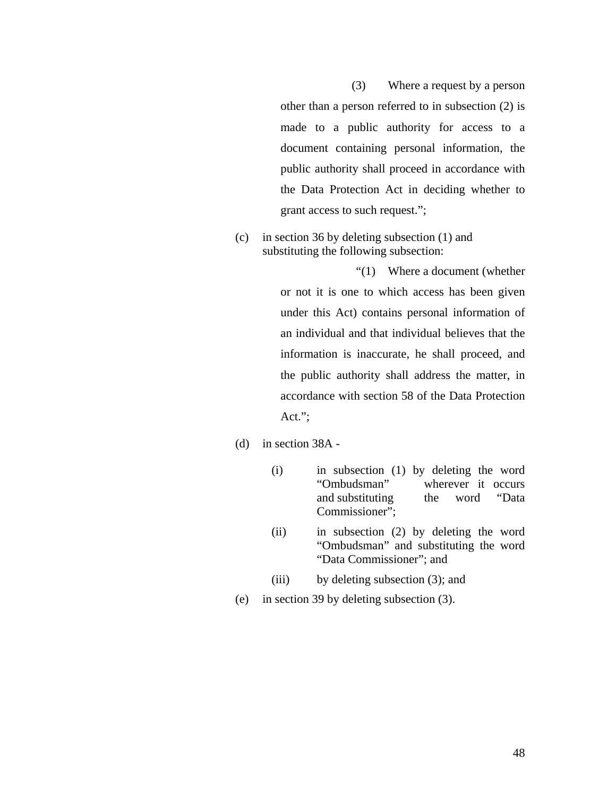(3) Where a request by a person other than a person referred to in subsection (2) is made to a public authority for access to a document containing personal information, the public authority shall proceed in accordance with the Data Protection Act in deciding whether to grant access to such request.";

(c) in section 36 by deleting subsection (1) and substituting the following subsection:

> "(1) Where a document (whether or not it is one to which access has been given under this Act) contains personal information of an individual and that individual believes that the information is inaccurate, he shall proceed, and the public authority shall address the matter, in accordance with section 58 of the Data Protection Act.";

- (d) in section 38A
	- (i) in subsection (1) by deleting the word "Ombudsman" wherever it occurs and substituting the word "Data Commissioner";
	- (ii) in subsection (2) by deleting the word "Ombudsman" and substituting the word "Data Commissioner"; and
	- (iii) by deleting subsection (3); and
- (e) in section 39 by deleting subsection (3).